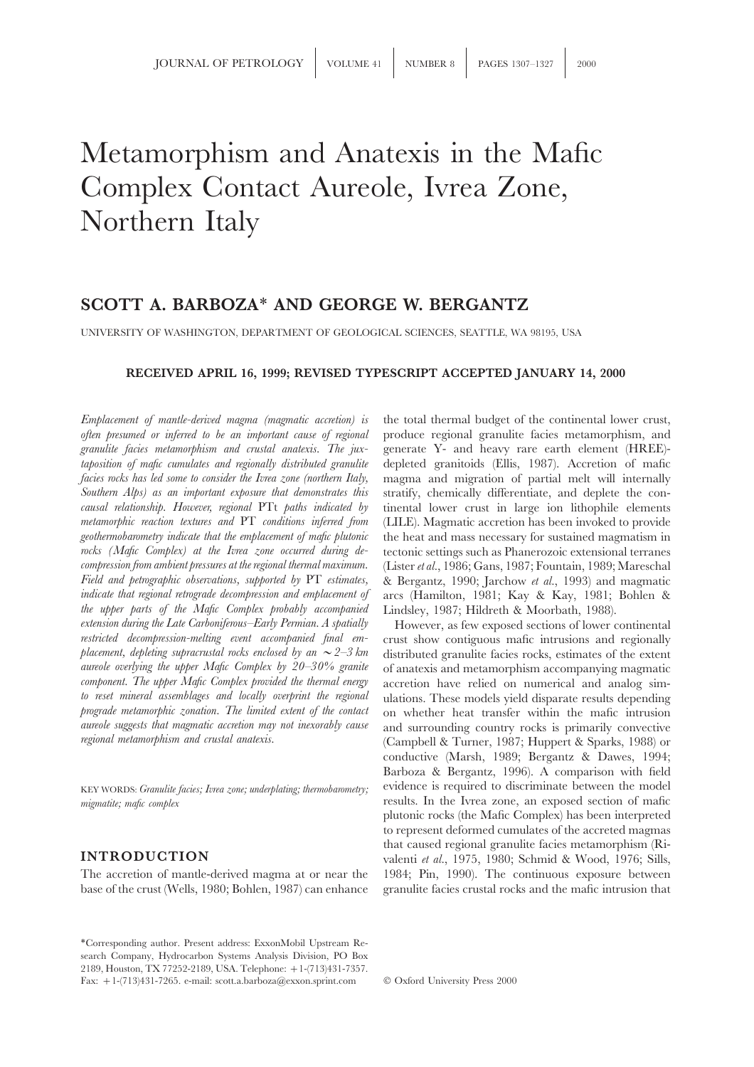## Metamorphism and Anatexis in the Mafic Complex Contact Aureole, Ivrea Zone, Northern Italy

## **SCOTT A. BARBOZA**∗ **AND GEORGE W. BERGANTZ**

UNIVERSITY OF WASHINGTON, DEPARTMENT OF GEOLOGICAL SCIENCES, SEATTLE, WA 98195, USA

### **RECEIVED APRIL 16, 1999; REVISED TYPESCRIPT ACCEPTED JANUARY 14, 2000**

*often presumed or inferred to be an important cause of regional* produce regional granulite facies metamorphism, and *granulite facies metamorphism and crustal anatexis. The jux-* generate Y- and heavy rare earth element (HREE) *taposition of mafic cumulates and regionally distributed granulite* depleted granitoids (Ellis, 1987). Accretion of mafic *facies rocks has led some to consider the Ivrea zone (northern Italy,* magma and migration of partial melt will internally *Southern Alps) as an important exposure that demonstrates this* stratify, chemically differentiate, and deplete the con*causal relationship. However, regional* PTt *paths indicated by* tinental lower crust in large ion lithophile elements *metamorphic reaction textures and* PT *conditions inferred from* (LILE). Magmatic accretion has been invoked to provide *geothermobarometry indicate that the emplacement of mafic plutonic* the heat and mass necessary for sustained magmatism in *rocks (Mafic Complex) at the Ivrea zone occurred during de-* tectonic settings such as Phanerozoic extensional terranes *Field and petrographic observations, supported by* PT *estimates,* & Bergantz, 1990; Jarchow *et al.*, 1993) and magmatic *indicate that regional retrograde decompression and emplacement of* arcs (Hamilton, 1981; Kay & Kay, 1981; Bohlen & *the upper parts of the Mafic Complex probably accompanied* Lindsley, 1987; Hildreth & Moorbath, 1988). *extension during the Late Carboniferous–Early Permian. A spatially* However, as few exposed sections of lower continental *restricted decompression-melting event accompanied final em-* crust show contiguous mafic intrusio *placement, depleting supracrustal rocks enclosed by an*  $\sim$  2–3 km distributed granulite facies rocks, estimates of the extent *aureole overlying the upper Mafic Complex by 20–30% granite* of anatexis and metamorphism accompanying magmatic *to reset mineral assemblages and locally overprint the regional* ulations. These models yield disparate results depending<br>*prograde metamorphic zonation. The limited extent of the contact* on whether heat transfer within *prograde metamorphic zonation. The limited extent of the contact* on whether heat transfer within the mafic intrusion *aureole suggests that magmatic accretion may not inexorably cause* and surrounding country rocks is pr

base of the crust (Wells, 1980; Bohlen, 1987) can enhance granulite facies crustal rocks and the mafic intrusion that

∗Corresponding author. Present address: ExxonMobil Upstream Research Company, Hydrocarbon Systems Analysis Division, PO Box 2189, Houston, TX 77252-2189, USA. Telephone: +1-(713)431-7357. Fax: +1-(713)431-7265. e-mail: scott.a.barboza@exxon.sprint.com © Oxford University Press 2000

*Emplacement of mantle-derived magma (magmatic accretion) is* the total thermal budget of the continental lower crust, *compression from ambient pressures at the regional thermal maximum.* (Lister*et al.*, 1986; Gans, 1987; Fountain, 1989; Mareschal

*restricted decompression-melting event accompanied final em-* crust show contiguous mafic intrusions and regionally *component. The upper Mafic Complex provided the thermal energy* accretion have relied on numerical and analog sim*aureole suggests that magmatic accretion may not inexorably cause* and surrounding country rocks is primarily convective *(Campbell & Turner, 1987; Huppert & Sparks, 1988) or* conductive (Marsh, 1989; Bergantz & Dawes, 1994; Barboza & Bergantz, 1996). A comparison with field KEY WORDS: *Granulite facies; Ivrea zone; underplating; thermobarometry;* evidence is required to discriminate between the model *migmatite; mafic complex* results. In the Ivrea zone, an exposed section of mafic plutonic rocks (the Mafic Complex) has been interpreted to represent deformed cumulates of the accreted magmas that caused regional granulite facies metamorphism (Ri-**INTRODUCTION** valenti *et al.*, 1975, 1980; Schmid & Wood, 1976; Sills, The accretion of mantle-derived magma at or near the 1984; Pin, 1990). The continuous exposure between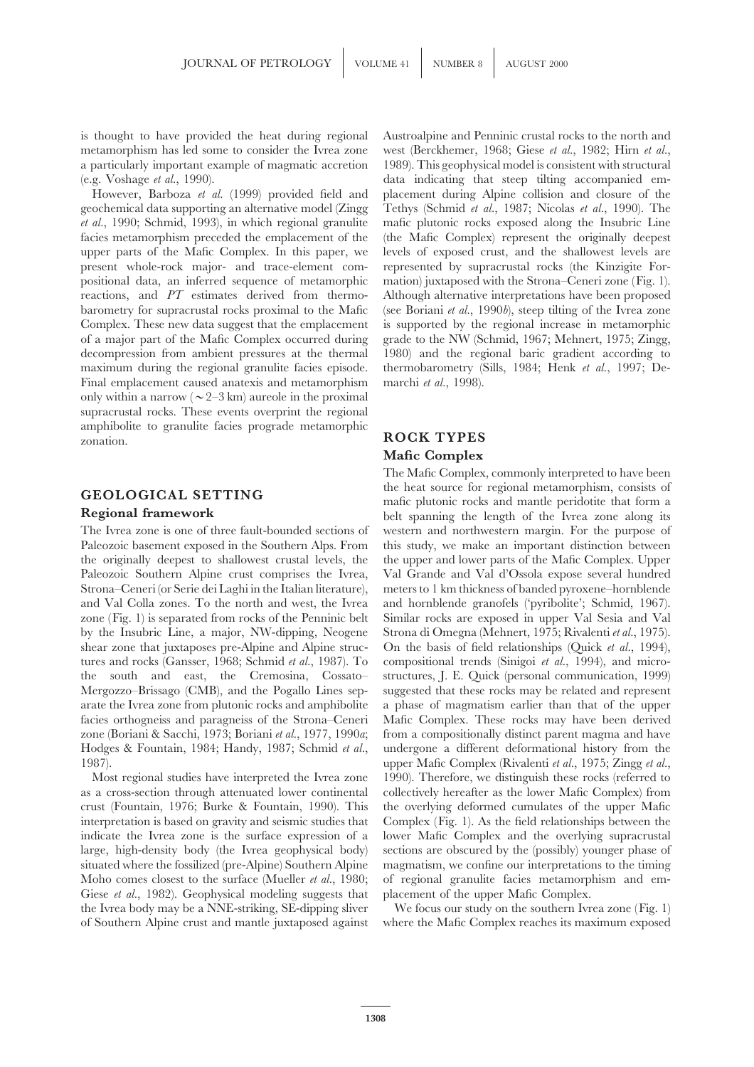is thought to have provided the heat during regional Austroalpine and Penninic crustal rocks to the north and metamorphism has led some to consider the Ivrea zone west (Berckhemer, 1968; Giese *et al.*, 1982; Hirn *et al.*, a particularly important example of magmatic accretion 1989). This geophysical model is consistent with structural (e.g. Voshage *et al.*, 1990). data indicating that steep tilting accompanied em-

geochemical data supporting an alternative model (Zingg Tethys (Schmid *et al.*, 1987; Nicolas *et al.*, 1990). The *et al.*, 1990; Schmid, 1993), in which regional granulite mafic plutonic rocks exposed along the Insubric Line facies metamorphism preceded the emplacement of the (the Mafic Complex) represent the originally deepest upper parts of the Mafic Complex. In this paper, we levels of exposed crust, and the shallowest levels are present whole-rock major- and trace-element com- represented by supracrustal rocks (the Kinzigite Forpositional data, an inferred sequence of metamorphic mation) juxtaposed with the Strona–Ceneri zone (Fig. 1). reactions, and *PT* estimates derived from thermo- Although alternative interpretations have been proposed barometry for supracrustal rocks proximal to the Mafic (see Boriani *et al.*, 1990*b*), steep tilting of the Ivrea zone Complex. These new data suggest that the emplacement is supported by the regional increase in metamorphic of a major part of the Mafic Complex occurred during grade to the NW (Schmid, 1967; Mehnert, 1975; Zingg, decompression from ambient pressures at the thermal 1980) and the regional baric gradient according to maximum during the regional granulite facies episode. thermobarometry (Sills, 1984; Henk *et al.*, 1997; De-Final emplacement caused anatexis and metamorphism marchi *et al.*, 1998). only within a narrow ( $\sim$  2–3 km) aureole in the proximal supracrustal rocks. These events overprint the regional amphibolite to granulite facies prograde metamorphic zonation. **ROCK TYPES**

The Ivrea zone is one of three fault-bounded sections of western and northwestern margin. For the purpose of Paleozoic basement exposed in the Southern Alps. From this study, we make an important distinction between the originally deepest to shallowest crustal levels, the the upper and lower parts of the Mafic Complex. Upper Paleozoic Southern Alpine crust comprises the Ivrea, Val Grande and Val d'Ossola expose several hundred Strona–Ceneri (or Serie dei Laghi in the Italian literature), meters to 1 km thickness of banded pyroxene–hornblende and Val Colla zones. To the north and west, the Ivrea and hornblende granofels ('pyribolite'; Schmid, 1967). zone (Fig. 1) is separated from rocks of the Penninic belt Similar rocks are exposed in upper Val Sesia and Val by the Insubric Line, a major, NW-dipping, Neogene Strona di Omegna (Mehnert, 1975; Rivalenti *et al.*, 1975). shear zone that juxtaposes pre-Alpine and Alpine struc- On the basis of field relationships (Quick *et al.*, 1994), tures and rocks (Gansser, 1968; Schmid *et al.*, 1987). To compositional trends (Sinigoi *et al.*, 1994), and microthe south and east, the Cremosina, Cossato– structures, J. E. Quick (personal communication, 1999) Mergozzo–Brissago (CMB), and the Pogallo Lines sep- suggested that these rocks may be related and represent arate the Ivrea zone from plutonic rocks and amphibolite a phase of magmatism earlier than that of the upper facies orthogneiss and paragneiss of the Strona–Ceneri Mafic Complex. These rocks may have been derived zone (Boriani & Sacchi, 1973; Boriani *et al.*, 1977, 1990*a*; from a compositionally distinct parent magma and have Hodges & Fountain, 1984; Handy, 1987; Schmid *et al.*, undergone a different deformational history from the

as a cross-section through attenuated lower continental collectively hereafter as the lower Mafic Complex) from crust (Fountain, 1976; Burke & Fountain, 1990). This the overlying deformed cumulates of the upper Mafic interpretation is based on gravity and seismic studies that Complex (Fig. 1). As the field relationships between the indicate the Ivrea zone is the surface expression of a lower Mafic Complex and the overlying supracrustal large, high-density body (the Ivrea geophysical body) sections are obscured by the (possibly) younger phase of situated where the fossilized (pre-Alpine) Southern Alpine magmatism, we confine our interpretations to the timing Moho comes closest to the surface (Mueller *et al.*, 1980; of regional granulite facies metamorphism and em-Giese *et al.*, 1982). Geophysical modeling suggests that placement of the upper Mafic Complex. the Ivrea body may be a NNE-striking, SE-dipping sliver We focus our study on the southern Ivrea zone (Fig. 1) of Southern Alpine crust and mantle juxtaposed against where the Mafic Complex reaches its maximum exposed

However, Barboza *et al.* (1999) provided field and placement during Alpine collision and closure of the

# **Mafic Complex**

The Mafic Complex, commonly interpreted to have been **GEOLOGICAL SETTING** the heat source for regional metamorphism, consists of mafic plutonic rocks and mantle peridotite that form a belt spanning the length of the Ivrea zone along its 1987). upper Mafic Complex (Rivalenti *et al.*, 1975; Zingg *et al.*, Most regional studies have interpreted the Ivrea zone 1990). Therefore, we distinguish these rocks (referred to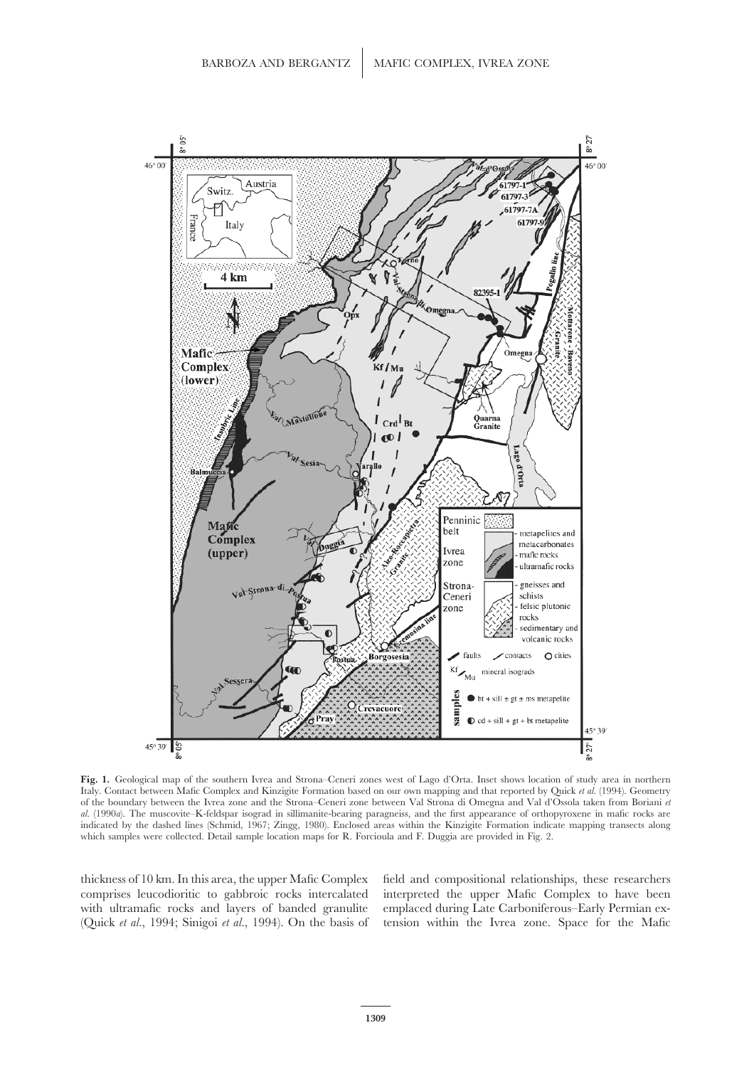

**Fig. 1.** Geological map of the southern Ivrea and Strona–Ceneri zones west of Lago d'Orta. Inset shows location of study area in northern Italy. Contact between Mafic Complex and Kinzigite Formation based on our own mapping and that reported by Quick *et al.* (1994). Geometry of the boundary between the Ivrea zone and the Strona–Ceneri zone between Val Strona di Omegna and Val d'Ossola taken from Boriani *et al.* (1990*a*). The muscovite–K-feldspar isograd in sillimanite-bearing paragneiss, and the first appearance of orthopyroxene in mafic rocks are indicated by the dashed lines (Schmid, 1967; Zingg, 1980). Enclosed areas within the Kinzigite Formation indicate mapping transects along which samples were collected. Detail sample location maps for R. Forcioula and F. Duggia are provided in Fig. 2.

thickness of 10 km. In this area, the upper Mafic Complex field and compositional relationships, these researchers comprises leucodioritic to gabbroic rocks intercalated interpreted the upper Mafic Complex to have been with ultramafic rocks and layers of banded granulite emplaced during Late Carboniferous–Early Permian exwith ultramafic rocks and layers of banded granulite emplaced during Late Carboniferous–Early Permian ex-<br>(Ouick et al., 1994; Sinigoi et al., 1994). On the basis of tension within the Ivrea zone. Space for the Mafic tension within the Ivrea zone. Space for the Mafic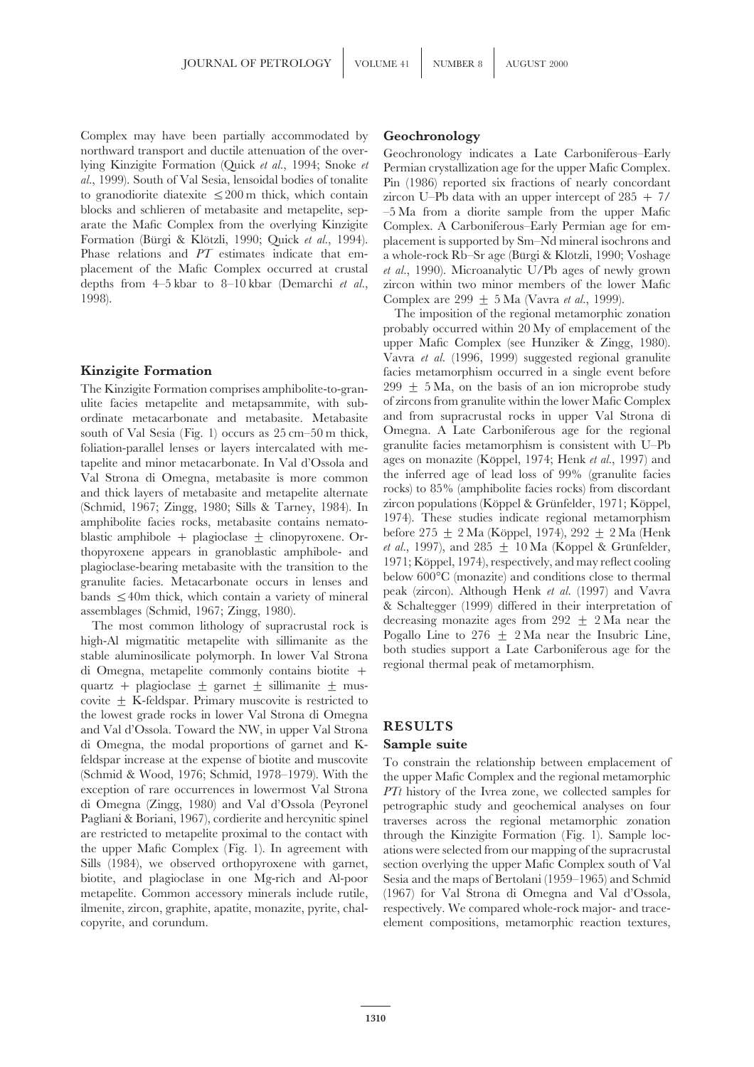Complex may have been partially accommodated by **Geochronology** northward transport and ductile attenuation of the over-<br>
lying Kinzigite Formation (Quick *et al.*, 1994; Snoke *et* Permian crystallization age for the upper Mafic Complex lying Kinzigite Formation (Quick *et al.*, 1994; Snoke *et* Permian crystallization age for the upper Mafic Complex. *al.*, 1999). South of Val Sesia, lensoidal bodies of tonalite Pin (1986) reported six fractions of nearly concordant to granodiorite diatexite  $\leq 200$  m thick, which contain zircon U–Ph data with an upper intercent of to granodiorite diatexite  $\leq 200$  m thick, which contain zircon U–Pb data with an upper intercept of 285 + 7/<br>blocks and schlieren of metabasite and metapelite, sep- -5 Ma from a diorite sample from the upper Mafic blocks and schlieren of metabasite and metapelite, sep- –5 Ma from a diorite sample from the upper Mafic arate the Mafic Complex from the overlying Kinzigite Complex. A Carboniferous–Early Permian age for em-Formation (Bürgi & Klötzli, 1990; Quick *et al.*, 1994). placement is supported by Sm–Nd mineral isochrons and PT estimates indicate that em-<br>Phase relations and PT estimates indicate that em- a whole-rock Rb–Sr age (Bürgi placement of the Mafic Complex occurred at crustal *et al.*, 1990). Microanalytic U/Pb ages of newly grown depths from 4–5 kbar to 8–10 kbar (Demarchi *et al.*, zircon within two minor members of the lower Mafic 1998). Complex are 299 ± 5 Ma (Vavra *et al.*, 1999).

ulite facies metapelite and metapsammite, with sub-<br>ordinate metacarbonate and metabasite. Metabasite and from supracrustal rocks in upper Val Strona di ordinate metacarbonate and metabasite. Metabasite and from supracrustal rocks in upper Val Strona di<br>south of Val Sesia (Fig. 1) occurs as 25 cm–50 m thick Omegna. A Late Carboniferous age for the regional south of Val Sesia (Fig. 1) occurs as 25 cm–50 m thick, Omegna. A Late Carboniferous age for the regional foliation-parallel lenses or layers intercalated with me-<br>
granulite facies metamorphism is consistent with U–Pb foliation-parallel lenses or layers intercalated with me- granulite facies metamorphism is consistent with U–Pb<br>tapelite and minor metacarbonate. In Val d'Ossola and ages on monazite (Köppel, 1974; Henk *et al.*, 1997) and tapelite and minor metacarbonate. In Val d'Ossola and ages on monazite (Köppel, 1974; Henk *et al.*, 1997) and<br>Val Strona di Omegna, metabasite is more common the inferred age of lead loss of 99% (granulite facies Val Strona di Omegna, metabasite is more common the inferred age of lead loss of 99% (granulite facies and thick layers of metabasite and metapelite alternate rocks) to 85% (amphibolite facies rocks) from discordant and thick layers of metabasite and metapelite alternate rocks) to 85% (amphibolite facies rocks) from discordant<br>(Schmid, 1967; Zingg, 1980; Sills & Tarney, 1984). In zircon populations (Köppel & Grünfelder, 1971; Köppel, amphibolite facies rocks, metabasite contains nemato-<br>before 275  $\pm$  2 Ma (Köppel, 1974), 292  $\pm$  2 Ma (Henk<br>blastic amphibole  $\pm$  plagioclase  $\pm$  clinopyroxene. Or

quartz + plagioclase  $\pm$  garnet  $\pm$  sillimanite  $\pm$  muscovite  $\pm$  K-feldspar. Primary muscovite is restricted to the lowest grade rocks in lower Val Strona di Omegna and Val d'Ossola. Toward the NW, in upper Val Strona **RESULTS** di Omegna, the modal proportions of garnet and K- **Sample suite** feldspar increase at the expense of biotite and muscovite To constrain the relationship between emplacement of (Schmid & Wood, 1976; Schmid, 1978–1979). With the the upper Mafic Complex and the regional metamorphic (Schmid & Wood, 1976; Schmid, 1978–1979). With the the upper Mafic Complex and the regional metamorphic exception of rare occurrences in lowermost Val Strona  $PTt$  history of the Iyrea zone, we collected samples for di Omegna (Zingg, 1980) and Val d'Ossola (Peyronel petrographic study and geochemical analyses on four Pagliani & Boriani, 1967), cordierite and hercynitic spinel traverses across the regional metamorphic zonation are restricted to metapelite proximal to the contact with through the Kinzigite Formation (Fig. 1). Sample locthe upper Mafic Complex (Fig. 1). In agreement with ations were selected from our mapping of the supracrustal Sills (1984), we observed orthopyroxene with garnet, section overlying the upper Mafic Complex south of Val biotite, and plagioclase in one Mg-rich and Al-poor Sesia and the maps of Bertolani (1959–1965) and Schmid metapelite. Common accessory minerals include rutile, (1967) for Val Strona di Omegna and Val d'Ossola, ilmenite, zircon, graphite, apatite, monazite, pyrite, chal- respectively. We compared whole-rock major- and tracecopyrite, and corundum. element compositions, metamorphic reaction textures,

Complex. A Carboniferous–Early Permian age for ema whole-rock Rb–Sr age (Bürgi & Klötzli, 1990; Voshage

The imposition of the regional metamorphic zonation probably occurred within 20 My of emplacement of the upper Mafic Complex (see Hunziker & Zingg, 1980). Vavra *et al.* (1996, 1999) suggested regional granulite **Kinzigite Formation facies** metamorphism occurred in a single event before The Kinzigite Formation comprises amphibolite-to-gran- 299  $\pm$  5 Ma, on the basis of an ion microprobe study blastic amphibole + plagioclase  $\pm$  clinopyroxene. Or-<br>thopyroxene appears in granoblastic amphibole- and  $et al., 1997$ , and  $285 \pm 10$  Ma (Köppel & Grünfelder,<br>plagioclase-bearing metabasite with the transition to the  $197$ 

*PTt* history of the Ivrea zone, we collected samples for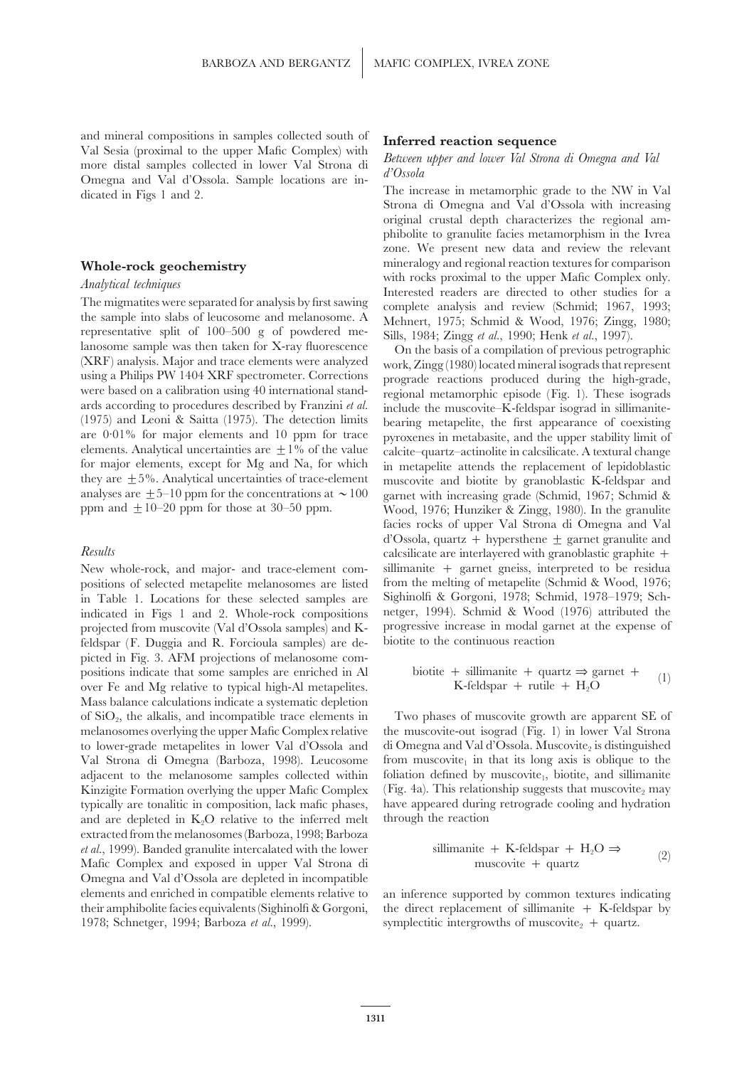and mineral compositions in samples collected south of<br>
Val Sesia (proximal to the upper Mafic Complex) with<br>
more distal samples collected in lower Val Strona di<br>
Omegna and Val d'Ossola. Sample locations are in-<br>
dicated

The migmatites were separated for analysis by first sawing<br>
the sample into slabs of leucosome and melanosome. A<br>
representative split of 100–500 g of powdered me-<br>
lanosome sample was then taken for X-ray fluorescence<br>
( (1975) and Leoni & Saitta (1975). The detection limits bearing metapelite, the first appearance of coexisting elements. Analytical uncertainties are  $\pm 1\%$  of the value calcite–quartz–actinolite in calcsilicate. A textural change for major elements, except for Mg and Na, for which in metapelite attends the replacement of lepidoblastic they are  $\pm 5\%$ . Analytical uncertainties of trace-element muscovite and biotite by granoblastic K-feldspar and they are  $\pm 5$ %. Analytical uncertainties of trace-element muscovite and biotite by granoblastic K-feldspar and analyses are  $+5$ –10 ppm for the concentrations at  $\sim 100$  garnet with increasing grade (Schmid, 1967; Schm analyses are  $\pm$  5–10 ppm for the concentrations at  $\sim$  100 garnet with increasing grade (Schmid, 1967; Schmid & ppm and  $\pm$  10–20 ppm for those at 30–50 ppm. Wood, 1976: Hunziker & Zingg, 1980). In the granulite

positions of selected metapelite melanosomes are listed from the melting of metapelite (Schmid & Wood, 1976; in Table 1. Locations for these selected samples are Sighinolfi & Gorgoni, 1978; Schmid, 1978–1979; Schin Table 1. Locations for these selected samples are projected from muscovite (Val d'Ossola samples) and K- progressive increase in modal garnet at the expense of the expense of the expense of the expense of the expense of the expense of the expense of the expense of the exp feldspar  $(F.$  Duggia and  $R.$  Forcioula samples) are depicted in Fig. 3. AFM projections of melanosome compositions indicate that some samples are enriched in Al over Fe and Mg relative to typical high-Al metapelites. Mass balance calculations indicate a systematic depletion melanosomes overlying the upper Mafic Complex relative the muscovite-out isograd (Fig. 1) in lower Val Strona to lower-grade metapelites in lower Val d'Ossola and di Omegna and Val d'Ossola. Muscovite, is distinguished Val Strona di Omegna (Barboza, 1998). Leucosome from muscovite<sub>1</sub> in that its long axis is oblique to the adjacent to the melanosome samples collected within foliation defined by muscovite<sub>1</sub>, biotite, and sillimanite Kinzigite Formation overlying the upper Mafic Complex (Fig. 4a). This relationship suggests that muscovite<sub>2</sub> may typically are tonalitic in composition, lack mafic phases, have appeared during retrograde cooling and hydration and are depleted in  $K<sub>2</sub>O$  relative to the inferred melt through the reaction extracted from the melanosomes (Barboza, 1998; Barboza *et al.*, 1999). Banded granulite intercalated with the lower Mafic Complex and exposed in upper Val Strona di Omegna and Val d'Ossola are depleted in incompatible elements and enriched in compatible elements relative to an inference supported by common textures indicating their amphibolite facies equivalents (Sighinolfi & Gorgoni, the direct replacement of sillimanite  $+$  K-feldspar by 1978; Schnetger, 1994; Barboza *et al.*, 1999). symplectitic intergrowths of muscovite<sub>2</sub> + quartz.

original crustal depth characterizes the regional amphibolite to granulite facies metamorphism in the Ivrea zone. We present new data and review the relevant **Whole-rock geochemistry** mineralogy and regional reaction textures for comparison<br>declaration textures for complex only. Analytical techniques<br>The migmatites were separated for analysis by first sawing<br>Complete analysis and review (Schmid: 1067, 1003.

are 0·01% for major elements and 10 ppm for trace pyroxenes in metabasite, and the upper stability limit of Wood, 1976; Hunziker & Zingg, 1980). In the granulite facies rocks of upper Val Strona di Omegna and Val d'Ossola, quartz + hypersthene  $\pm$  garnet granulite and *Results* calcsilicate are interlayered with granoblastic graphite + New whole-rock, and major- and trace-element com- sillimanite + garnet gneiss, interpreted to be residua indicated in Figs 1 and 2. Whole-rock compositions netger, 1994). Schmid & Wood (1976) attributed the

biotite + sillimanite + quartz 
$$
\Rightarrow
$$
 garnet +

\nK-feldspar + rutile + H<sub>2</sub>O

of  $SiO<sub>2</sub>$ , the alkalis, and incompatible trace elements in  $\blacksquare$  Two phases of muscovite growth are apparent SE of

sillimanite + K-feldspar + H<sub>2</sub>O 
$$
\Rightarrow
$$
  
muscovite + quartz (2)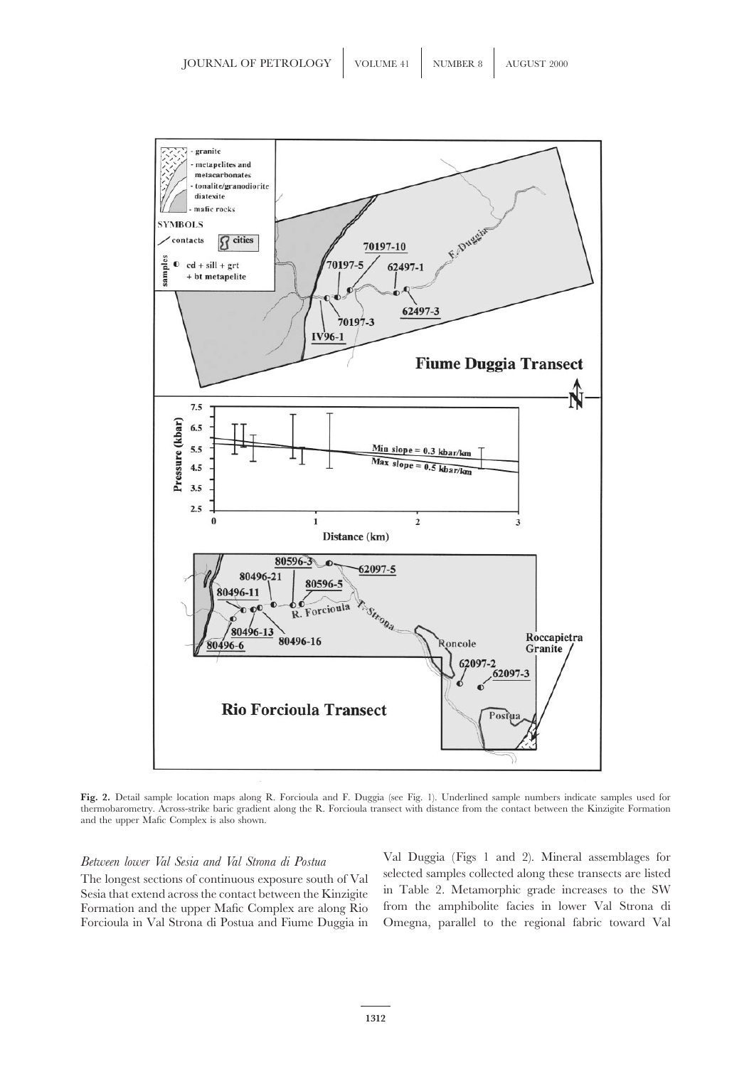

**Fig. 2.** Detail sample location maps along R. Forcioula and F. Duggia (see Fig. 1). Underlined sample numbers indicate samples used for thermobarometry. Across-strike baric gradient along the R. Forcioula transect with distance from the contact between the Kinzigite Formation and the upper Mafic Complex is also shown.

Sesia that extend across the contact between the Kinzigite in Table 2. Metamorphic grade increases to the SW<br>Formation and the upper Mafic Complex are along Rio from the amphibolite facies in lower Val Strona di Formation and the upper Mafic Complex are along Rio Forcioula in Val Strona di Postua and Fiume Duggia in Omegna, parallel to the regional fabric toward Val

Val Duggia (Figs 1 and 2). Mineral assemblages for *Between lower Val Sesia and Val Strona di Postua* The longest sections of continuous exposure south of Val<br>Sesia that extend across the contact between the Kinzigite in Table 2. Metamorphic grade increases to the SW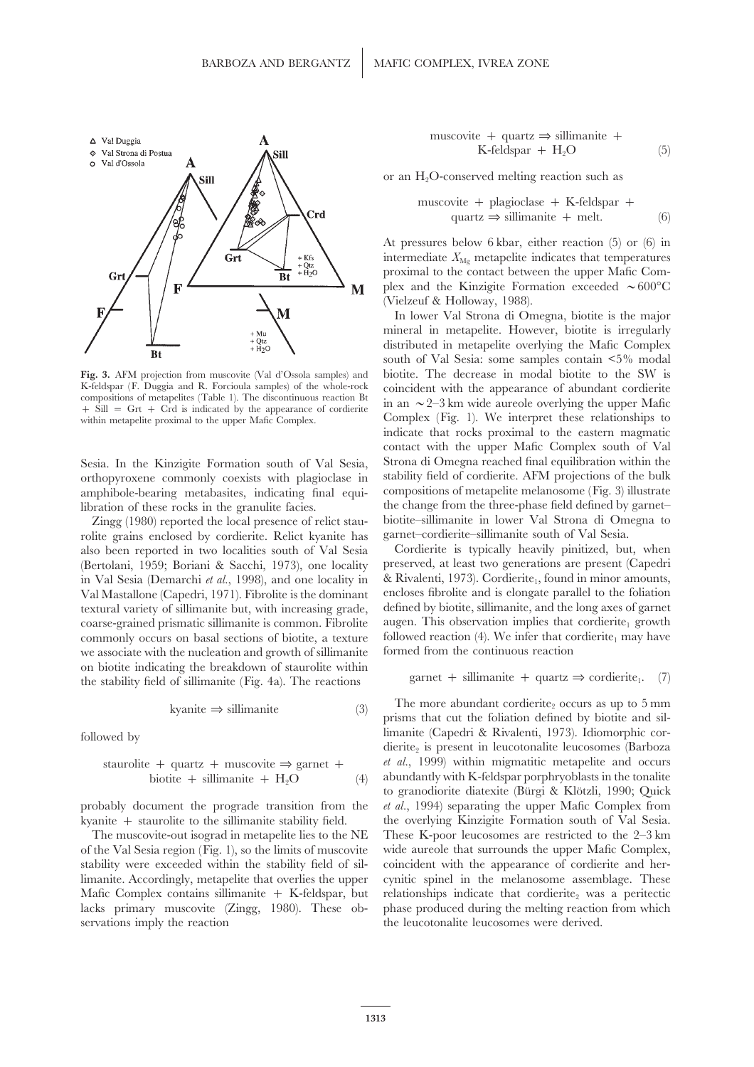

amphibole-bearing metabasites, indicating final equilibration of these rocks in the granulite facies. the change from the three-phase field defined by garnet–

rolite grains enclosed by cordierite. Relict kyanite has garnet–cordierite–sillimanite south of Val Sesia.<br>Also been reported in two localities south of Val Sesia Cordierite is typically heavily pinitized, but, when also been reported in two localities south of Val Sesia Cordierite is typically heavily pinitized, but, when<br>(Bertolani, 1959: Boriani & Sacchi, 1973), one locality preserved, at least two generations are present (Capedri (Bertolani, 1959; Boriani & Sacchi, 1973), one locality in Val Sesia (Demarchi *et al.*, 1998), and one locality in & Rivalenti, 1973). Cordierite<sub>t</sub>, found in minor amounts, Val Mastallone (Capedri, 1971). Fibrolite is the dominant encloses fibrolite and is elongate parallel to the foliation textural variety of sillimanite but, with increasing grade, defined by biotite, sillimanite, and the long axes of garnet coarse-grained prismatic sillimanite is common. Fibrolite augen. This observation implies that cordierite<sub>1</sub> growth<br>commonly occurs on basal sections of biotite, a texture followed reaction (4). We infer that cordierite, m commonly occurs on basal sections of biotite, a texture we associate with the nucleation and growth of sillimanite formed from the continuous reaction on biotite indicating the breakdown of staurolite within the stability field of sillimanite (Fig. 4a). The reactions garnet + sillimanite + quartz  $\Rightarrow$  cordierite<sub>1</sub>. (7)

$$
kyanite \implies \text{sillimanie} \tag{3}
$$

$$
staurolite + quartz + musicovite \Rightarrow garnet + biotite + silimanite + H2O
$$
 (4)

probably document the prograde transition from the *et al.*, 1994) separating the upper Mafic Complex from

servations imply the reaction the leucotonalite leucosomes were derived.

$$
\begin{array}{ll}\text{muscovite} &+ \text{ quartz} \Rightarrow \text{sillimanie} &+\\ \text{K-fieldspar} &+ \text{H}_2\text{O} & \text{(5)}\end{array}
$$

or an  $H_2O$ -conserved melting reaction such as

$$
\begin{array}{ll}\text{muscovite} + \text{plagioclase} + \text{K-feldspar} +\\ \text{quartz} \Rightarrow \text{sillimanite} + \text{melt.} \end{array} \tag{6}
$$

At pressures below 6 kbar, either reaction (5) or (6) in intermediate  $X_{\text{Mg}}$  metapelite indicates that temperatures proximal to the contact between the upper Mafic Complex and the Kinzigite Formation exceeded  $\sim 600^{\circ}$ C (Vielzeuf & Holloway, 1988).

In lower Val Strona di Omegna, biotite is the major mineral in metapelite. However, biotite is irregularly distributed in metapelite overlying the Mafic Complex south of Val Sesia: some samples contain <5% modal **Fig. 3.** AFM projection from muscovite (Val d'Ossola samples) and biotite. The decrease in modal biotite to the SW is K-feldspar (F. Duggia and R. Forcioula samples) of the whole-rock coincident with the appearance of abu K-feldspar (F. Duggia and R. Forcioula samples) of the whole-rock<br>coincident with the appearance of abundant cordierite<br>  $+$  Sill = Grt + Crd is indicated by the appearance of cordierite<br>  $+$  Sill = Grt + Crd is indicated within metapelite proximal to the upper Mafic Complex. Complex (Fig. 1). We interpret these relationships to indicate that rocks proximal to the eastern magmatic contact with the upper Mafic Complex south of Val Sesia. In the Kinzigite Formation south of Val Sesia, Strona di Omegna reached final equilibration within the orthopyroxene commonly coexists with plagioclase in stability field of cordierite. AFM projections of the bulk Zingg (1980) reported the local presence of relict stau-<br>biotite–sillimanite in lower Val Strona di Omegna to<br>lite grains enclosed by cordierite. Relict kvanite has garnet–cordierite–sillimanite south of Val Sesia.

The more abundant cordierite<sub>2</sub> occurs as up to 5 mm prisms that cut the foliation defined by biotite and silfollowed by dimanite (Capedri & Rivalenti, 1973). Idiomorphic cor-<br>dierite<sub>2</sub> is present in leucotonalite leucosomes (Barboza *et al.*, 1999) within migmatitic metapelite and occurs abundantly with K-feldspar porphryoblasts in the tonalite to granodiorite diatexite (Bürgi & Klötzli, 1990; Quick kyanite + staurolite to the sillimanite stability field. the overlying Kinzigite Formation south of Val Sesia. The muscovite-out isograd in metapelite lies to the NE These K-poor leucosomes are restricted to the 2–3 km of the Val Sesia region (Fig. 1), so the limits of muscovite wide aureole that surrounds the upper Mafic Complex, stability were exceeded within the stability field of sil- coincident with the appearance of cordierite and herlimanite. Accordingly, metapelite that overlies the upper cynitic spinel in the melanosome assemblage. These Mafic Complex contains sillimanite  $+$  K-feldspar, but relationships indicate that cordierite<sub>2</sub> was a peritectic lacks primary muscovite (Zingg, 1980). These ob- phase produced during the melting reaction from which phase produced during the melting reaction from which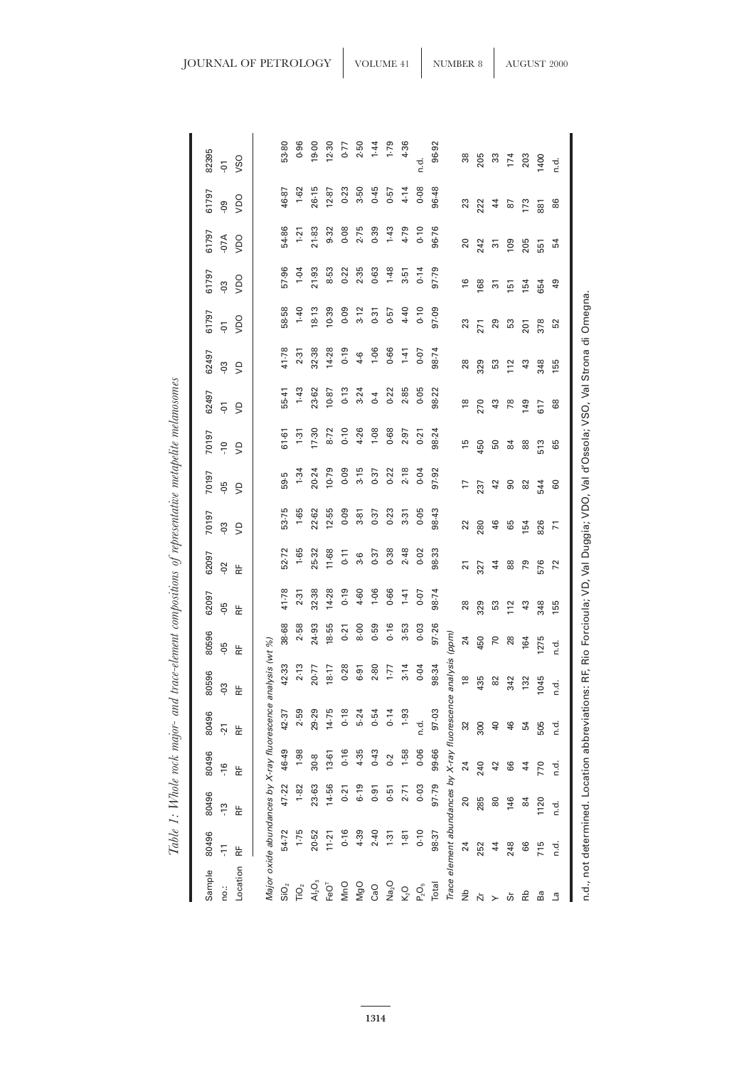| Sample                                     | 80496    | 80496                                                                                                                          | 80496   | 80496           | 80596          | 80596 | 62097          | 62097          | 70197          | 70197        | 70197          | 62497                        | 62497      | 61797          | 61797                     | 61797                                      | 61797          | 82395                   |
|--------------------------------------------|----------|--------------------------------------------------------------------------------------------------------------------------------|---------|-----------------|----------------|-------|----------------|----------------|----------------|--------------|----------------|------------------------------|------------|----------------|---------------------------|--------------------------------------------|----------------|-------------------------|
| no.:                                       | ٢Ţ       | $\frac{3}{2}$                                                                                                                  | $-16$   | $-21$           | $-03$          | ęp    | ę.             | $-02$          | ξÓ.            | $-05$        | $\overline{C}$ | $\overleftarrow{\mathsf{P}}$ | $50-$      | $\overline{5}$ | $\overline{c}$            | $-07A$                                     | <u>၉</u>       | $\overline{\mathsf{P}}$ |
| Location                                   | 눈        | F۴                                                                                                                             | ۴Ë      | ۴Ë              | 눈              | 눈     | $\overline{R}$ | 눈              | $\epsilon$     | $\mathsf{S}$ | $\cup$         | $\cup$                       | $\epsilon$ | Oan            | Oan                       | Oay                                        | Oan            | VSO                     |
|                                            |          | Major oxide abundances by X-ray fluorescence analysis (wt %)                                                                   |         |                 |                |       |                |                |                |              |                |                              |            |                |                           |                                            |                |                         |
| $\overline{\text{SiO}}_2$                  | 54.72    | 47.22                                                                                                                          | 46.49   | 42.37           | 42.33          | 38-68 | 41.78          | 52.72          | 53.75          | 59.5         | 61.61          | 55-41                        | 41.78      | 58-58          | 57.96                     | 54.86                                      | 46.87          | 53.80                   |
| ΓÕ,                                        | $1 - 75$ | 1.82                                                                                                                           | 1.98    | 2.59            | 2.13           | 2.58  | 2.31           | 1.65           | $1 - 65$       | 1.34         | $1-31$         | 1.43                         | 2.31       | $1-40$         | 1.04                      | 1.21                                       | $1 - 62$       | 0.96                    |
| $\overline{A}$ <sub>2</sub> O <sub>3</sub> | 20.52    | 23.63                                                                                                                          | 30.8    | 29.29           | 20.77          | 24.93 | 32.38          | 25-32          | 22.62          | 20.24        | 17.30          | 23.62                        | 32.38      | 18.13          | 21.93                     | 21-83                                      | 26.15          | 19.00                   |
| FeO <sup>T</sup>                           | 11.21    | 14.56                                                                                                                          | $13-61$ | 14.75           | 18.17          | 18.55 | 14.28          | 11.68          | 12.55          | 10.79        | 8.72           | 10.87                        | 14.28      | 10.39          | 8.53                      | 9.32                                       | 12.87          | 12.30                   |
| <b>MnO</b>                                 | 0.16     | 0.21                                                                                                                           | 0.16    | 0.18            | 0.28           | 0.21  | 0.19           | 0.11           | $0 - 09$       | 0.09         | 0.10           | 0.13                         | 0.19       | 0.09           | 0.22                      | 0.08                                       | $0 - 23$       | 0.77                    |
| <b>MgO</b>                                 | 4.39     | 6.19                                                                                                                           | 4.35    | 5.24            | 6.91           | 8.00  | 4.60           | 3.6            | $3-81$         | 3.15         | 4.26           | 3.24                         | $4-6$      | 3.12           | 2.35                      | 2.75                                       | 3.50           | 2.50                    |
| CaO                                        | 2.40     | 0.91                                                                                                                           | 0.43    | 0.54            | 2.80           | 0.59  | 1.06           | 0.37           | 0.37           | 0.37         | 1.08           | 0.4                          | 1.06       | 0.31           | 0.63                      | 0.39                                       | 0.45           | 1.44                    |
| Na <sub>2</sub> O                          | 1.31     | 0.51                                                                                                                           | 0.2     | 0.14            | $1 - 77$       | 0.16  | 0.66           | 0.38           | $0 - 23$       | 0.22         | 0.68           | 0.22                         | 0.66       | 0.57           | 1.48                      | 1.43                                       | 0.57           | $1 - 79$                |
| $K2$ O                                     | 1.81     | 2.71                                                                                                                           | 1.58    | 1.93            | 3.14           | 3.53  | $1-41$         | 2.48           | 3.31           | 2.18         | 2.97           | 2.85                         | $1-41$     | 4.40           | 3.51                      | 4.79                                       | 4.14           | 4.36                    |
| $\mathsf{P}_2\mathsf{O}_5$                 | 0.10     | 0.03                                                                                                                           | 0.06    | d.<br>C         | 0.04           | 0.03  | 0.07           | 0.02           | 0.05           | 0.04         | $0 - 21$       | 0.05                         | $0 - 07$   | 0.10           | 0.14                      | 0.10                                       | 0.08           | r.d                     |
| Total                                      | 98.37    | 97.79                                                                                                                          | 99.66   | 97.03           | 98.34          | 97.26 | 98.74          | 98.33          | 98.43          | 97.92        | 98.24          | 98.22                        | 98.74      | 97.09          | 97.79                     | 96.76                                      | 96.48          | 96.92                   |
|                                            |          | Trace element abundances by X-ray fluorescence                                                                                 |         |                 | analysis       | (ppm) |                |                |                |              |                |                              |            |                |                           |                                            |                |                         |
| ξ                                          | 24       | 20                                                                                                                             | 24      | 32              | $\frac{8}{10}$ | 24    | $28$           | $\overline{2}$ | 22             | 17           | 15             | $\overset{\circ}{=}$         | 28         | $\mathbb{S}^2$ | $\frac{6}{2}$             | 20                                         | 23             | 38                      |
| Ľ                                          | 252      | 285                                                                                                                            | 240     | 300             | 435            | 450   | 329            | 327            | 280            | 237          | 450            | 270                          | 329        | 271            | 168                       | 242                                        | 222            | 205                     |
| ≻                                          | 44       | 80                                                                                                                             | 42      | $\overline{40}$ | $82$           | 70    | S3             | $\overline{4}$ | 46             | 42           | 50             | $\mathfrak{Q}$               | 53         | 29             | $\overline{\mathfrak{D}}$ | $\begin{array}{c} 5 \\ 0 \\ 0 \end{array}$ | $\overline{4}$ | 33                      |
| တ်                                         | 248      | 146                                                                                                                            | 66      | 46              | 342            | 28    | 112            | 88             | 65             | $\mathsf{S}$ | 84             | 78                           | 112        | 53             | 151                       |                                            | 87             | 174                     |
| Rb                                         | 66       | $\overline{8}$                                                                                                                 | 44      | 54              | 132            | 164   | $43\,$         | 79             | 154            | 82           | 88             | 149                          | $43$       | <b>201</b>     | 154                       | 205                                        | 173            | 203                     |
| Ba                                         | 715      | 1120                                                                                                                           | 770     | 505             | 1045           | 1275  | 348            | 576            | 826            | 544          | 513            | 617                          | 348        | 378            | 654                       | 551                                        | 88             | 1400                    |
| ما                                         | ن<br>ء   | n.d.                                                                                                                           | r.d     | d.<br>C         | n.d.           | n.d.  | 155            | 72             | $\overline{7}$ | 60           | 65             | 89                           | 155        | 52             | $\overline{a}$            | 54                                         | 86             | n.d.                    |
|                                            |          | n.d., not determined. Location abbreviations: RF, Rio Forcioula; VD, Val Duggia; VDO, Val d'Ossola; VSO, Val Strona di Omegna. |         |                 |                |       |                |                |                |              |                |                              |            |                |                           |                                            |                |                         |

Table 1: Whole rock major- and trace-element compositions of representative metapelite melanosomes Table 1: Whole rock major- and trace-element compositions of representative metapelite melanosomes

**1314**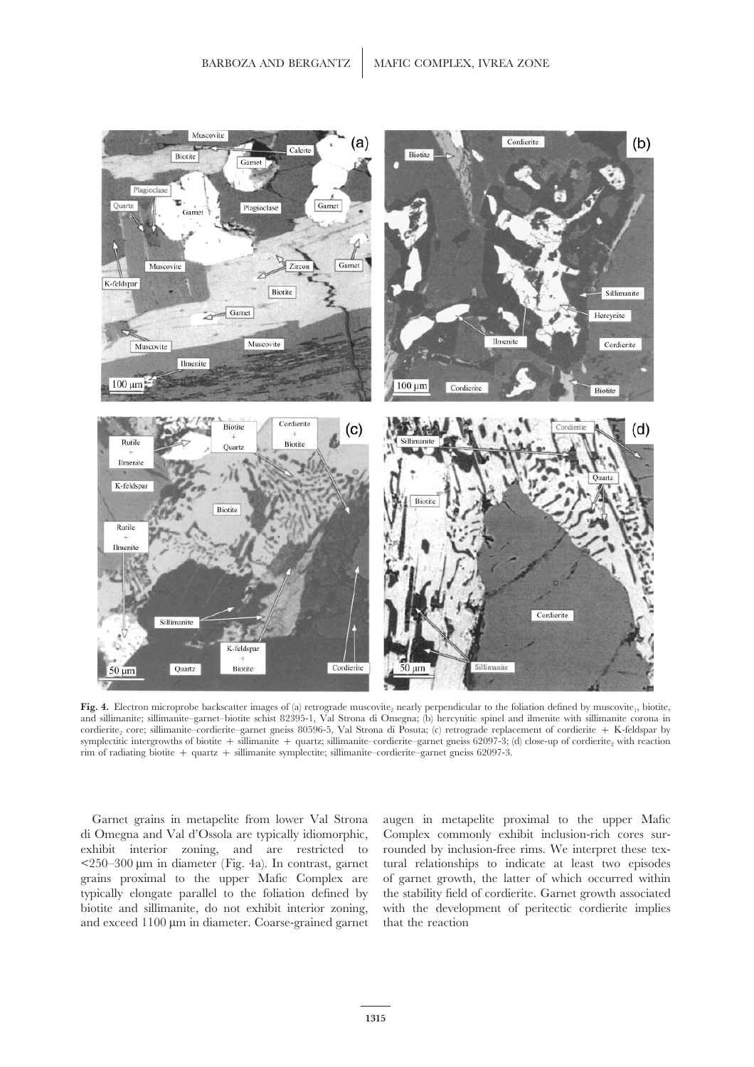

Fig. 4. Electron microprobe backscatter images of (a) retrograde muscovite<sub>2</sub> nearly perpendicular to the foliation defined by muscovite<sub>1</sub>, biotite, and sillimanite; sillimanite–garnet–biotite schist 82395-1, Val Strona di Omegna; (b) hercynitic spinel and ilmenite with sillimanite corona in cordierite, core; sillimanite–cordierite–garnet gneiss 80596-5, Val Strona di Posuta; (c) retrograde replacement of cordierite + K-feldspar by symplectitic intergrowths of biotite + sillimanite + quartz; sillimanite–cordierite–garnet gneiss 62097-3; (d) close-up of cordierite, with reaction rim of radiating biotite + quartz + sillimanite symplectite; sillimanite–cordierite–garnet gneiss 62097-3.

Garnet grains in metapelite from lower Val Strona augen in metapelite proximal to the upper Mafic di Omegna and Val d'Ossola are typically idiomorphic, Complex commonly exhibit inclusion-rich cores surexhibit interior zoning, and are restricted to rounded by inclusion-free rims. We interpret these tex-  $\langle 250 - 300 \,\mu m$  in diameter (Fig. 4a). In contrast, garnet tural relationships to indicate at least two episodes grains proximal to the upper Mafic Complex are of garnet growth, the latter of which occurred within typically elongate parallel to the foliation defined by the stability field of cordierite. Garnet growth associated biotite and sillimanite, do not exhibit interior zoning, with the development of peritectic cordierite implies and exceed  $1100 \mu m$  in diameter. Coarse-grained garnet that the reaction

the stability field of cordierite. Garnet growth associated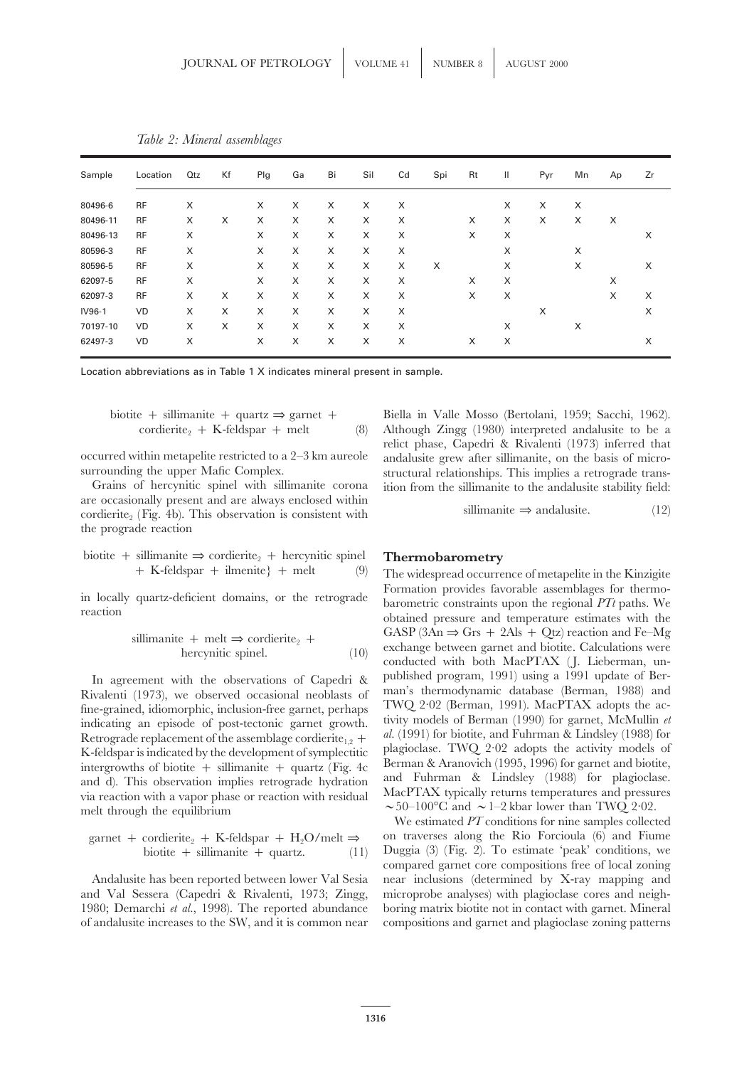| Sample   | Location  | <b>Qtz</b> | Kf | Plg | Ga | Bi | Sil | Cd | Spi | Rt | Ш | Pyr | Mn | Ap | Zr |
|----------|-----------|------------|----|-----|----|----|-----|----|-----|----|---|-----|----|----|----|
| 80496-6  | <b>RF</b> | X          |    | X   | X  | X  | X   | X  |     |    | X | X   | X  |    |    |
| 80496-11 | <b>RF</b> | X          | X  | X   | X  | X  | X   | X  |     | X  | X | X   | X  | X  |    |
| 80496-13 | <b>RF</b> | X          |    | X   | X  | X  | X   | X  |     | X  | X |     |    |    | X  |
| 80596-3  | <b>RF</b> | X          |    | X   | X  | X  | X   | X  |     |    | X |     | X  |    |    |
| 80596-5  | <b>RF</b> | X          |    | X   | X  | X  | X   | X  | X   |    | X |     | X  |    | X  |
| 62097-5  | <b>RF</b> | X          |    | X   | X  | X  | X   | X  |     | X  | X |     |    | X  |    |
| 62097-3  | <b>RF</b> | X          | X  | X   | X  | X  | X   | X  |     | X  | X |     |    | X  | X  |
| IV96-1   | VD        | X          | X  | X   | X  | X  | X   | X  |     |    |   | X   |    |    | X  |
| 70197-10 | VD        | X          | X  | X   | X  | X  | X   | X  |     |    | X |     | X  |    |    |
| 62497-3  | VD        | X          |    | X   | X  | X  | X   | X  |     | X  | X |     |    |    | X  |

*Table 2: Mineral assemblages*

Location abbreviations as in Table 1 X indicates mineral present in sample.

\n
$$
\text{biotic} + \text{sillimani}t + \text{quartz} \Rightarrow \text{garnet} + \text{cordier}t = 4 \cdot \text{K-feld} \cdot \text{F}
$$
\n

Grains of hercynitic spinel with sillimanite corona ition from the sillimanite to the andalusite stability field:<br>are occasionally present and are always enclosed within  $\text{coordinate}_2$  (Fig. 4b). This observation is consistent with sillimanite ⇒ andalusite. (12) the prograde reaction

\n biotite + sillimanite 
$$
\Rightarrow
$$
 corderite<sub>2</sub> + hercynitic spinel   
\n + K-feldspar + ilmenite  $\}$  + melt\n

$$
\text{isillimanic + melt} \Rightarrow \text{cordicrite}_2 + \text{hercynitic spinel.} \tag{10}
$$

Rivalenti (1973), we observed occasional neoblasts of man's thermodynamic database (Berman, 1988) and<br>fine-grained idiomorphic inclusion-free garnet perhaps TWQ 2.02 (Berman, 1991). MacPTAX adopts the acfine-grained, idiomorphic, inclusion-free garnet, perhaps to  $T$  wQ 2·02 (berman, 1991). MacPTAX adopts the ac-<br>indicating an episode of post-tectonic garnet growth. tivity models of Berman (1990) for garnet, McMullin *et* Retrograde replacement of the assemblage cordierite<sub>1,2</sub> + al. (1991) for biotite, and Fuhrman & Lindsley (1988) for  $K$ -feldspan is indicated by the development of symplectitic plagioclase. TWQ 2.02 adopts the activity m K-feldspar is indicated by the development of symplectitic plagioclase. TWQ 2.02 adopts the activity models of interprow the of biotite  $\pm$  sillimanite  $\pm$  quartz (Fig. 4c) Berman & Aranovich (1995, 1996) for garnet and intergrowths of biotite + sillimanite + quartz (Fig. 4c) Berman & Aranovich (1995, 1996) for garnet and biotite,<br>and d). This observation implies retrograde hydration and Fuhrman & Lindsley (1988) for plagioclase.<br>via reac melt through the equilibrium  $\sim 50-100^{\circ}\text{C}$  and  $\sim 1-2$  kbar lower than TWQ 2·02.

$$
garnet + corderite2 + K-feldspar + H2O/melt \Rightarrow biotite + sillimanite + quartz. \tag{11}
$$

and Val Sessera (Capedri & Rivalenti, 1973; Zingg, microprobe analyses) with plagioclase cores and neigh-<br>1980; Demarchi et al., 1998). The reported abundance boring matrix biotite not in contact with garnet. Mineral of andalusite increases to the SW, and it is common near compositions and garnet and plagioclase zoning patterns

Biella in Valle Mosso (Bertolani, 1959; Sacchi, 1962). Although Zingg (1980) interpreted andalusite to be a relict phase, Capedri & Rivalenti (1973) inferred that occurred within metapelite restricted to a 2–3 km aureole andalusite grew after sillimanite, on the basis of microsurrounding the upper Mafic Complex. structural relationships. This implies a retrograde trans-

### **Thermobarometry**

The widespread occurrence of metapelite in the Kinzigite in locally quartz-deficient domains, or the retrograde  $\frac{1}{2}$  Formation provides favorable assemblages for thermo-<br>reaction obtained pressure and temperature estimates with the  $\text{sillimanic} + \text{melt} \Rightarrow \text{cordicrite}_2 + \text{hercynitic spinel.}$ (10)  $\text{GASP (3An} ⇒ \text{Grs} + 2\text{Als} + \text{Qtz) reaction and Fe-Mg exchange between grant and biotic. Calculations were conducted with both MacPTAX (J. Lieberman, un-$ In agreement with the observations of Capedri & published program, 1991) using a 1991 update of Ber-<br>inclose (1973) we observed oscasional pooblests of man's thermodynamic database (Berman, 1988) and

We estimated *PT* conditions for nine samples collected on traverses along the Rio Forcioula (6) and Fiume Duggia (3) (Fig. 2). To estimate 'peak' conditions, we compared garnet core compositions free of local zoning Andalusite has been reported between lower Val Sesia near inclusions (determined by X-ray mapping and boring matrix biotite not in contact with garnet. Mineral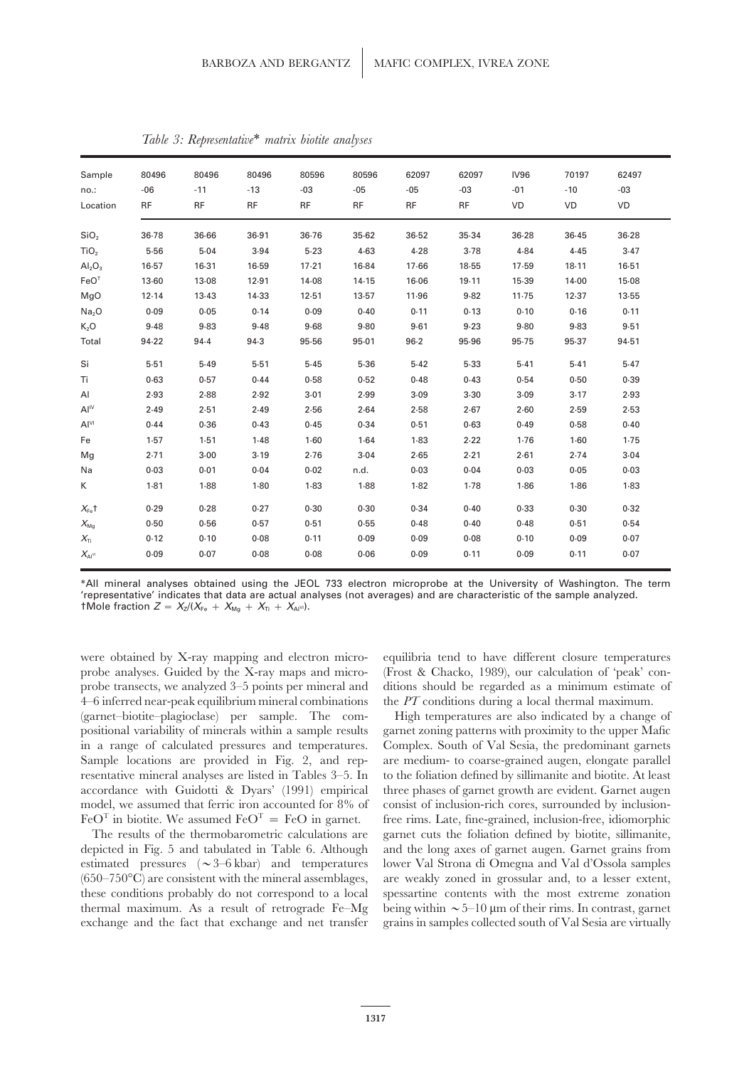| Sample<br>no.:<br>Location      | 80496<br>$-06$<br><b>RF</b> | 80496<br>$-11$<br><b>RF</b> | 80496<br>$-13$<br><b>RF</b> | 80596<br>$-03$<br><b>RF</b> | 80596<br>$-05$<br><b>RF</b> | 62097<br>$-05$<br><b>RF</b> | 62097<br>$-03$<br><b>RF</b> | <b>IV96</b><br>$-01$<br><b>VD</b> | 70197<br>$-10$<br>VD | 62497<br>$-03$<br>VD |
|---------------------------------|-----------------------------|-----------------------------|-----------------------------|-----------------------------|-----------------------------|-----------------------------|-----------------------------|-----------------------------------|----------------------|----------------------|
| SiO <sub>2</sub>                | 36.78                       | 36.66                       | 36.91                       | 36.76                       | 35.62                       | 36.52                       | 35.34                       | $36 - 28$                         | 36.45                | 36.28                |
| TiO <sub>2</sub>                | 5.56                        | 5.04                        | 3.94                        | $5-23$                      | 4.63                        | 4.28                        | 3.78                        | 4.84                              | 4.45                 | 3.47                 |
| $\mathsf{Al}_2\mathsf{O}_3$     | $16-57$                     | $16-31$                     | 16.59                       | $17-21$                     | 16.84                       | 17.66                       | 18.55                       | 17.59                             | 18.11                | 16.51                |
| FeO <sup>T</sup>                | 13.60                       | 13.08                       | 12.91                       | 14.08                       | 14.15                       | 16.06                       | 19.11                       | 15.39                             | 14.00                | 15.08                |
| MgO                             | 12.14                       | 13.43                       | 14.33                       | 12.51                       | 13.57                       | 11.96                       | 9.82                        | 11.75                             | 12.37                | 13.55                |
| Na <sub>2</sub> O               | 0.09                        | 0.05                        | 0.14                        | 0.09                        | 0.40                        | 0.11                        | 0.13                        | 0.10                              | 0.16                 | 0.11                 |
| K <sub>2</sub> O                | 9.48                        | 9.83                        | 9.48                        | 9.68                        | 9.80                        | 9.61                        | 9.23                        | 9.80                              | 9.83                 | 9.51                 |
| Total                           | 94.22                       | 94.4                        | 94.3                        | 95.56                       | 95.01                       | $96 - 2$                    | 95.96                       | 95.75                             | 95.37                | 94.51                |
| Si                              | 5.51                        | 5.49                        | 5.51                        | 5.45                        | 5.36                        | 5.42                        | 5.33                        | 5.41                              | 5.41                 | 5.47                 |
| Ti                              | 0.63                        | 0.57                        | 0.44                        | 0.58                        | 0.52                        | 0.48                        | 0.43                        | 0.54                              | 0.50                 | 0.39                 |
| AI                              | 2.93                        | 2.88                        | 2.92                        | 3.01                        | 2.99                        | 3.09                        | 3.30                        | 3.09                              | 3.17                 | 2.93                 |
| Al <sup>IV</sup>                | 2.49                        | 2.51                        | 2.49                        | 2.56                        | 2.64                        | 2.58                        | 2.67                        | 2.60                              | 2.59                 | 2.53                 |
| Al <sup>VI</sup>                | 0.44                        | 0.36                        | 0.43                        | 0.45                        | 0.34                        | 0.51                        | 0.63                        | 0.49                              | 0.58                 | 0.40                 |
| Fe                              | 1.57                        | 1.51                        | 1.48                        | $1 - 60$                    | 1.64                        | 1.83                        | 2.22                        | 1.76                              | 1.60                 | 1.75                 |
| Mg                              | 2.71                        | $3 - 00$                    | 3.19                        | 2.76                        | 3.04                        | 2.65                        | 2.21                        | 2.61                              | 2.74                 | 3.04                 |
| Na                              | 0.03                        | 0.01                        | 0.04                        | 0.02                        | n.d.                        | 0.03                        | 0.04                        | 0.03                              | 0.05                 | 0.03                 |
| K                               | $1-81$                      | 1.88                        | 1.80                        | $1-83$                      | 1.88                        | $1-82$                      | 1.78                        | 1.86                              | 1.86                 | 1.83                 |
| $X_{F_R}$ t                     | 0.29                        | 0.28                        | 0.27                        | 0.30                        | 0.30                        | 0.34                        | 0.40                        | 0.33                              | 0.30                 | 0.32                 |
| $X_{\text{Mg}}$                 | 0.50                        | 0.56                        | 0.57                        | 0.51                        | 0.55                        | 0.48                        | 0.40                        | 0.48                              | 0.51                 | 0.54                 |
| $X_{\text{Ti}}$                 | 0.12                        | 0.10                        | 0.08                        | 0.11                        | 0.09                        | 0.09                        | 0.08                        | 0.10                              | 0.09                 | 0.07                 |
| $X_{\mathsf{Al}^{\mathsf{VI}}}$ | 0.09                        | 0.07                        | 0.08                        | 0.08                        | 0.06                        | 0.09                        | 0.11                        | 0.09                              | 0.11                 | 0.07                 |

*Table 3: Representative*∗ *matrix biotite analyses*

∗All mineral analyses obtained using the JEOL 733 electron microprobe at the University of Washington. The term 'representative' indicates that data are actual analyses (not averages) and are characteristic of the sample analyzed.  $\mathsf{tMole}$  fraction  $Z = X_{Z}/(X_{\mathsf{Fe}} + X_{\mathsf{Mg}} + X_{\mathsf{Ti}} + X_{\mathsf{Al}^{\mathsf{VI}}}).$ 

were obtained by X-ray mapping and electron micro- equilibria tend to have different closure temperatures 4–6 inferred near-peak equilibrium mineral combinations the *PT* conditions during a local thermal maximum. (garnet–biotite–plagioclase) per sample. The com- High temperatures are also indicated by a change of positional variability of minerals within a sample results garnet zoning patterns with proximity to the upper Mafic in a range of calculated pressures and temperatures. Complex. South of Val Sesia, the predominant garnets Sample locations are provided in Fig. 2, and rep- are medium- to coarse-grained augen, elongate parallel resentative mineral analyses are listed in Tables 3–5. In to the foliation defined by sillimanite and biotite. At least accordance with Guidotti & Dyars' (1991) empirical three phases of garnet growth are evident. Garnet augen model, we assumed that ferric iron accounted for 8% of consist of inclusion-rich cores, surrounded by inclusion- $FeO<sup>T</sup>$  in biotite. We assumed  $FeO<sup>T</sup> = FeO$  in garnet. free rims. Late, fine-grained, inclusion-free, idiomorphic

depicted in Fig. 5 and tabulated in Table 6. Although and the long axes of garnet augen. Garnet grains from estimated pressures ( $\sim$ 3–6 kbar) and temperatures lower Val Strona di Omegna and Val d'Ossola samples  $(650-750\textdegree C)$  are consistent with the mineral assemblages, are weakly zoned in grossular and, to a lesser extent, these conditions probably do not correspond to a local spessartine contents with the most extreme zonation thermal maximum. As a result of retrograde Fe–Mg being within  $\sim 5-10 \mu m$  of their rims. In contrast, garnet exchange and the fact that exchange and net transfer grains in samples collected south of Val Sesia are virtually

probe analyses. Guided by the X-ray maps and micro- (Frost & Chacko, 1989), our calculation of 'peak' conprobe transects, we analyzed 3–5 points per mineral and ditions should be regarded as a minimum estimate of

The results of the thermobarometric calculations are garnet cuts the foliation defined by biotite, sillimanite,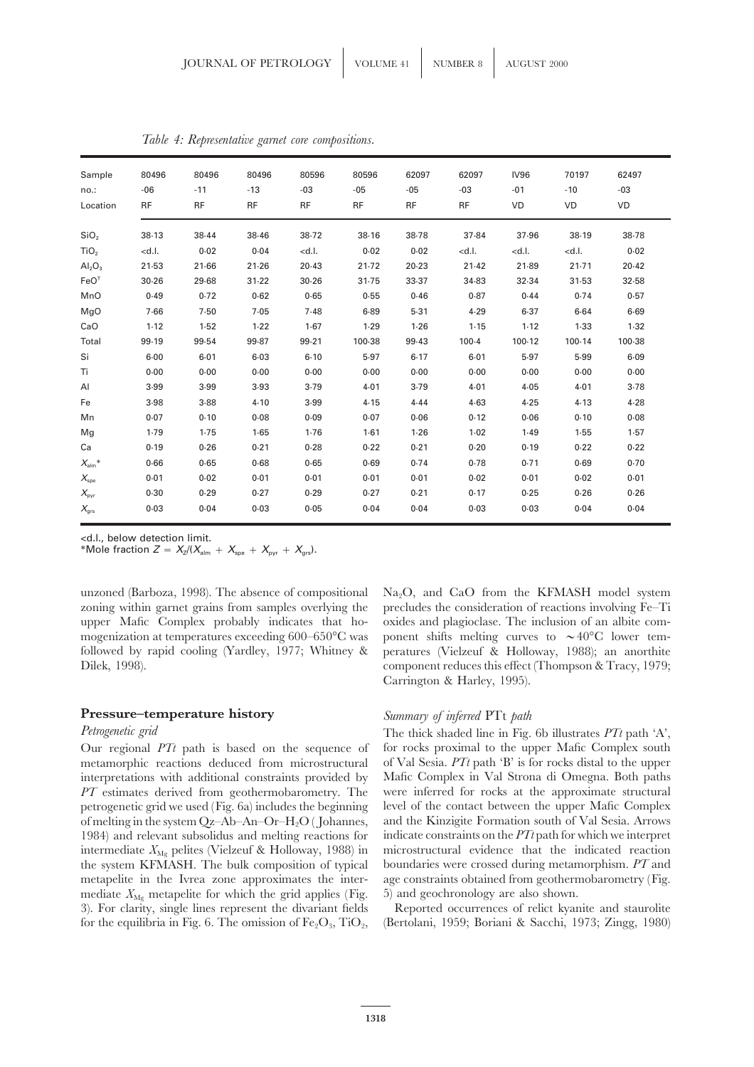| Sample<br>no.:<br>Location | 80496<br>$-06$<br><b>RF</b> | 80496<br>$-11$<br><b>RF</b> | 80496<br>$-13$<br><b>RF</b> | 80596<br>$-03$<br><b>RF</b>                                                                                                                            | 80596<br>$-05$<br><b>RF</b> | 62097<br>$-05$<br><b>RF</b> | 62097<br>$-03$<br><b>RF</b> | <b>IV96</b><br>$-01$<br>VD                                       | 70197<br>$-10$<br>VD | 62497<br>$-03$<br>VD |
|----------------------------|-----------------------------|-----------------------------|-----------------------------|--------------------------------------------------------------------------------------------------------------------------------------------------------|-----------------------------|-----------------------------|-----------------------------|------------------------------------------------------------------|----------------------|----------------------|
| SiO <sub>2</sub>           | 38.13                       | 38.44                       | 38.46                       | 38.72                                                                                                                                                  | 38.16                       | 38.78                       | 37.84                       | 37.96                                                            | 38.19                | 38.78                |
| TiO <sub>2</sub>           | $<$ d.l.                    | 0.02                        | 0.04                        | <d.l.< td=""><td>0.02</td><td>0.02</td><td><math>&lt;</math>d.l.</td><td><d.l.< td=""><td><math>&lt;</math>d.l.</td><td>0.02</td></d.l.<></td></d.l.<> | 0.02                        | 0.02                        | $<$ d.l.                    | <d.l.< td=""><td><math>&lt;</math>d.l.</td><td>0.02</td></d.l.<> | $<$ d.l.             | 0.02                 |
| $Al_2O_3$                  | 21.53                       | $21-66$                     | 21.26                       | 20.43                                                                                                                                                  | $21-72$                     | 20.23                       | $21-42$                     | 21.89                                                            | 21.71                | 20.42                |
| FeO <sup>T</sup>           | 30.26                       | 29.68                       | $31 - 22$                   | 30.26                                                                                                                                                  | 31.75                       | 33.37                       | 34.83                       | 32.34                                                            | 31.53                | 32.58                |
| MnO                        | 0.49                        | 0.72                        | 0.62                        | 0.65                                                                                                                                                   | 0.55                        | 0.46                        | 0.87                        | 0.44                                                             | 0.74                 | 0.57                 |
| MgO                        | 7.66                        | 7.50                        | 7.05                        | 7.48                                                                                                                                                   | 6.89                        | 5.31                        | 4.29                        | 6.37                                                             | 6.64                 | 6.69                 |
| CaO                        | 1.12                        | 1.52                        | 1.22                        | 1.67                                                                                                                                                   | 1.29                        | 1.26                        | 1.15                        | $1-12$                                                           | 1.33                 | 1.32                 |
| Total                      | 99.19                       | 99.54                       | 99.87                       | 99.21                                                                                                                                                  | 100.38                      | 99.43                       | $100 - 4$                   | $100 - 12$                                                       | 100.14               | 100-38               |
| Si                         | $6 - 00$                    | $6 - 01$                    | $6 - 03$                    | $6 - 10$                                                                                                                                               | 5.97                        | $6-17$                      | $6 - 01$                    | 5.97                                                             | 5.99                 | $6 - 09$             |
| Ti                         | 0.00                        | 0.00                        | 0.00                        | 0.00                                                                                                                                                   | 0.00                        | 0.00                        | 0.00                        | 0.00                                                             | 0.00                 | 0.00                 |
| AI                         | 3.99                        | 3.99                        | 3.93                        | 3.79                                                                                                                                                   | 4.01                        | 3.79                        | 4.01                        | 4.05                                                             | $4 - 01$             | 3.78                 |
| Fe                         | 3.98                        | $3 - 88$                    | 4.10                        | 3.99                                                                                                                                                   | 4.15                        | 4.44                        | 4.63                        | 4.25                                                             | 4.13                 | 4.28                 |
| Mn                         | 0.07                        | 0.10                        | 0.08                        | 0.09                                                                                                                                                   | 0.07                        | 0.06                        | 0.12                        | 0.06                                                             | 0.10                 | 0.08                 |
| Mg                         | 1.79                        | 1.75                        | 1.65                        | 1.76                                                                                                                                                   | $1-61$                      | $1-26$                      | $1-02$                      | 1.49                                                             | 1.55                 | 1.57                 |
| Ca                         | 0.19                        | 0.26                        | 0.21                        | 0.28                                                                                                                                                   | 0.22                        | 0.21                        | 0.20                        | 0.19                                                             | 0.22                 | 0.22                 |
| $X_{\rm alm}{}^*$          | 0.66                        | 0.65                        | 0.68                        | 0.65                                                                                                                                                   | 0.69                        | 0.74                        | 0.78                        | 0.71                                                             | 0.69                 | 0.70                 |
| $X_{\rm spe}$              | 0.01                        | 0.02                        | 0.01                        | 0.01                                                                                                                                                   | 0.01                        | 0.01                        | 0.02                        | 0.01                                                             | 0.02                 | 0.01                 |
| $X_{\sf pyr}$              | 0.30                        | 0.29                        | 0.27                        | 0.29                                                                                                                                                   | 0.27                        | 0.21                        | 0.17                        | 0.25                                                             | 0.26                 | 0.26                 |
| $X_{\rm{grs}}$             | 0.03                        | 0.04                        | 0.03                        | 0.05                                                                                                                                                   | 0.04                        | 0.04                        | 0.03                        | 0.03                                                             | 0.04                 | 0.04                 |

*Table 4: Representative garnet core compositions.*

<d.l., below detection limit.

\*Mole fraction  $Z = X_Z/(X_{\text{alm}} + X_{\text{spe}} + X_{\text{pyr}} + X_{\text{grs}}).$ 

upper Mafic Complex probably indicates that ho- oxides and plagioclase. The inclusion of an albite com-

## **Pressure–temperature history** *Summary of inferred* PTt *path*

Our regional *PTt* path is based on the sequence of for rocks proximal to the upper Mafic Complex south metamorphic reactions deduced from microstructural of Val Sesia. *PTt* path 'B' is for rocks distal to the upper interpretations with additional constraints provided by Mafic Complex in Val Strona di Omegna. Both paths *PT* estimates derived from geothermobarometry. The were inferred for rocks at the approximate structural petrogenetic grid we used (Fig. 6a) includes the beginning level of the contact between the upper Mafic Complex of melting in the system Qz–Ab–An–Or–H<sub>2</sub>O (Johannes, and the Kinzigite Formation south of Val Sesia. Arrows 1984) and relevant subsolidus and melting reactions for indicate constraints on the *PTt* path for which we interpret intermediate  $X_{\text{Mg}}$  pelites (Vielzeuf & Holloway, 1988) in microstructural evidence that the indicated reaction the system KFMASH. The bulk composition of typical boundaries were crossed during metamorphism. *PT* and the system KFMASH. The bulk composition of typical metapelite in the Ivrea zone approximates the inter- age constraints obtained from geothermobarometry (Fig. mediate  $X_{\text{Mg}}$  metapelite for which the grid applies (Fig.  $\,$  5) and geochronology are also shown. 3). For clarity, single lines represent the divariant fields Reported occurrences of relict kyanite and staurolite for the equilibria in Fig. 6. The omission of  $Fe<sub>2</sub>O<sub>3</sub>$ , TiO<sub>2</sub>, (Bertolani, 1959; Boriani & Sacchi, 1973; Zingg, 1980)

unzoned (Barboza, 1998). The absence of compositional  $Na<sub>2</sub>O$ , and CaO from the KFMASH model system zoning within garnet grains from samples overlying the precludes the consideration of reactions involving Fe–Ti mogenization at temperatures exceeding 600–650°C was ponent shifts melting curves to  $\sim 40^{\circ}$ C lower temfollowed by rapid cooling (Yardley, 1977; Whitney & peratures (Vielzeuf & Holloway, 1988); an anorthite Dilek, 1998). component reduces this effect (Thompson & Tracy, 1979; Carrington & Harley, 1995).

*Petrogenetic grid* The thick shaded line in Fig. 6b illustrates *PTt* path 'A',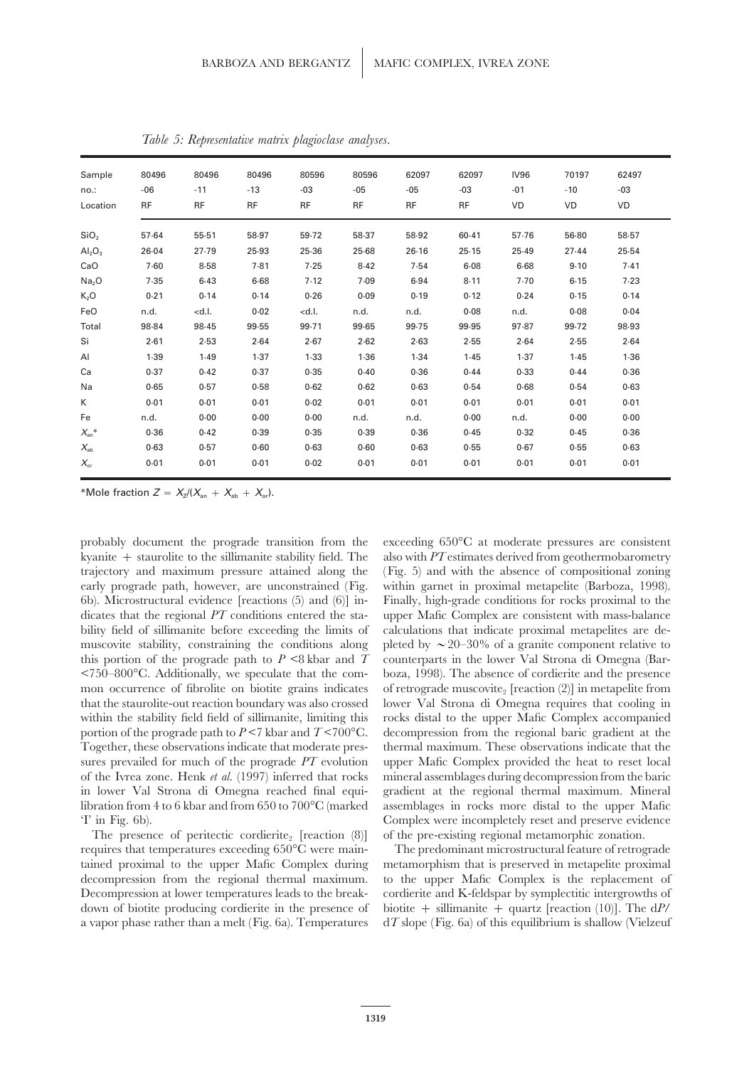| Sample                         | 80496     | 80496                                                                                                                                          | 80496     | 80596                                                                                               | 80596     | 62097     | 62097     | <b>IV96</b> | 70197 | 62497 |
|--------------------------------|-----------|------------------------------------------------------------------------------------------------------------------------------------------------|-----------|-----------------------------------------------------------------------------------------------------|-----------|-----------|-----------|-------------|-------|-------|
| no.:                           | $-06$     | $-11$                                                                                                                                          | $-13$     | $-03$                                                                                               | $-05$     | $-05$     | $-03$     | $-01$       | $-10$ | $-03$ |
| Location                       | <b>RF</b> | <b>RF</b>                                                                                                                                      | <b>RF</b> | <b>RF</b>                                                                                           | <b>RF</b> | <b>RF</b> | <b>RF</b> | <b>VD</b>   | VD    | VD    |
| SiO <sub>2</sub>               | 57.64     | $55 - 51$                                                                                                                                      | 58.97     | 59.72                                                                                               | 58.37     | 58.92     | 60.41     | 57.76       | 56.80 | 58.57 |
| Al <sub>2</sub> O <sub>3</sub> | 26.04     | 27.79                                                                                                                                          | 25.93     | 25.36                                                                                               | 25.68     | 26.16     | 25.15     | 25.49       | 27.44 | 25.54 |
| CaO                            | 7.60      | 8.58                                                                                                                                           | 7.81      | 7.25                                                                                                | 8.42      | 7.54      | 6.08      | $6 - 68$    | 9.10  | 7.41  |
| Na <sub>2</sub> O              | 7.35      | 6.43                                                                                                                                           | $6 - 68$  | 7.12                                                                                                | 7.09      | 6.94      | 8.11      | 7.70        | 6.15  | 7.23  |
| $K_2O$                         | 0.21      | 0.14                                                                                                                                           | 0.14      | 0.26                                                                                                | 0.09      | 0.19      | 0.12      | 0.24        | 0.15  | 0.14  |
| FeO                            | n.d.      | <d.l.< td=""><td>0.02</td><td><d.l.< td=""><td>n.d.</td><td>n.d.</td><td>0.08</td><td>n.d.</td><td>0.08</td><td>0.04</td></d.l.<></td></d.l.<> | 0.02      | <d.l.< td=""><td>n.d.</td><td>n.d.</td><td>0.08</td><td>n.d.</td><td>0.08</td><td>0.04</td></d.l.<> | n.d.      | n.d.      | 0.08      | n.d.        | 0.08  | 0.04  |
| Total                          | 98.84     | 98.45                                                                                                                                          | 99.55     | 99.71                                                                                               | 99.65     | 99.75     | 99.95     | 97.87       | 99.72 | 98.93 |
| Si                             | 2.61      | 2.53                                                                                                                                           | 2.64      | 2.67                                                                                                | 2.62      | 2.63      | 2.55      | 2.64        | 2.55  | 2.64  |
| AI                             | 1.39      | 1.49                                                                                                                                           | 1.37      | $1-33$                                                                                              | 1.36      | 1.34      | 1.45      | 1.37        | 1.45  | 1.36  |
| Ca                             | 0.37      | 0.42                                                                                                                                           | 0.37      | 0.35                                                                                                | 0.40      | 0.36      | 0.44      | 0.33        | 0.44  | 0.36  |
| Na                             | 0.65      | 0.57                                                                                                                                           | 0.58      | 0.62                                                                                                | 0.62      | 0.63      | 0.54      | 0.68        | 0.54  | 0.63  |
| K                              | 0.01      | 0.01                                                                                                                                           | 0.01      | 0.02                                                                                                | 0.01      | 0.01      | 0.01      | 0.01        | 0.01  | 0.01  |
| Fe                             | n.d.      | 0.00                                                                                                                                           | 0.00      | 0.00                                                                                                | n.d.      | n.d.      | 0.00      | n.d.        | 0.00  | 0.00  |
| $X_{\rm an}$ *                 | 0.36      | 0.42                                                                                                                                           | 0.39      | 0.35                                                                                                | 0.39      | 0.36      | 0.45      | 0.32        | 0.45  | 0.36  |
| $X_{\rm ab}$                   | 0.63      | 0.57                                                                                                                                           | 0.60      | 0.63                                                                                                | 0.60      | 0.63      | 0.55      | 0.67        | 0.55  | 0.63  |
| $X_{\alpha r}$                 | 0.01      | 0.01                                                                                                                                           | 0.01      | 0.02                                                                                                | 0.01      | 0.01      | 0.01      | 0.01        | 0.01  | 0.01  |

*Table 5: Representative matrix plagioclase analyses.*

\*Mole fraction  $Z = X_Z/(X_{an} + X_{ab} + X_{or})$ .

kyanite + staurolite to the sillimanite stability field. The also with *PT* estimates derived from geothermobarometry trajectory and maximum pressure attained along the (Fig. 5) and with the absence of compositional zoning early prograde path, however, are unconstrained (Fig. within garnet in proximal metapelite (Barboza, 1998). 6b). Microstructural evidence [reactions (5) and (6)] in- Finally, high-grade conditions for rocks proximal to the dicates that the regional *PT* conditions entered the sta- upper Mafic Complex are consistent with mass-balance bility field of sillimanite before exceeding the limits of calculations that indicate proximal metapelites are demuscovite stability, constraining the conditions along pleted by  $\sim 20$ –30% of a granite component relative to this portion of the prograde path to  $P \leq 8$  kbar and  $T$  counterparts in the lower Val Strona di Omegna (Bar-<750–800°C. Additionally, we speculate that the com- boza, 1998). The absence of cordierite and the presence mon occurrence of fibrolite on biotite grains indicates of retrograde muscovite, [reaction (2)] in metapelite from that the staurolite-out reaction boundary was also crossed lower Val Strona di Omegna requires that cooling in within the stability field field of sillimanite, limiting this rocks distal to the upper Mafic Complex accompanied portion of the prograde path to *P* <7 kbar and *T* <700°C. decompression from the regional baric gradient at the Together, these observations indicate that moderate pres- thermal maximum. These observations indicate that the sures prevailed for much of the prograde *PT* evolution upper Mafic Complex provided the heat to reset local of the Ivrea zone. Henk *et al.* (1997) inferred that rocks mineral assemblages during decompression from the baric in lower Val Strona di Omegna reached final equi- gradient at the regional thermal maximum. Mineral libration from 4 to 6 kbar and from 650 to 700°C (marked assemblages in rocks more distal to the upper Mafic

The presence of peritectic cordierite,  $[reaction (8)]$  of the pre-existing regional metamorphic zonation. requires that temperatures exceeding 650°C were main- The predominant microstructural feature of retrograde tained proximal to the upper Mafic Complex during metamorphism that is preserved in metapelite proximal decompression from the regional thermal maximum. to the upper Mafic Complex is the replacement of Decompression at lower temperatures leads to the break- cordierite and K-feldspar by symplectitic intergrowths of down of biotite producing cordierite in the presence of biotite + sillimanite + quartz [reaction (10)]. The d*P*/ a vapor phase rather than a melt (Fig. 6a). Temperatures d*T* slope (Fig. 6a) of this equilibrium is shallow (Vielzeuf

probably document the prograde transition from the exceeding 650°C at moderate pressures are consistent 'I' in Fig. 6b). Complex were incompletely reset and preserve evidence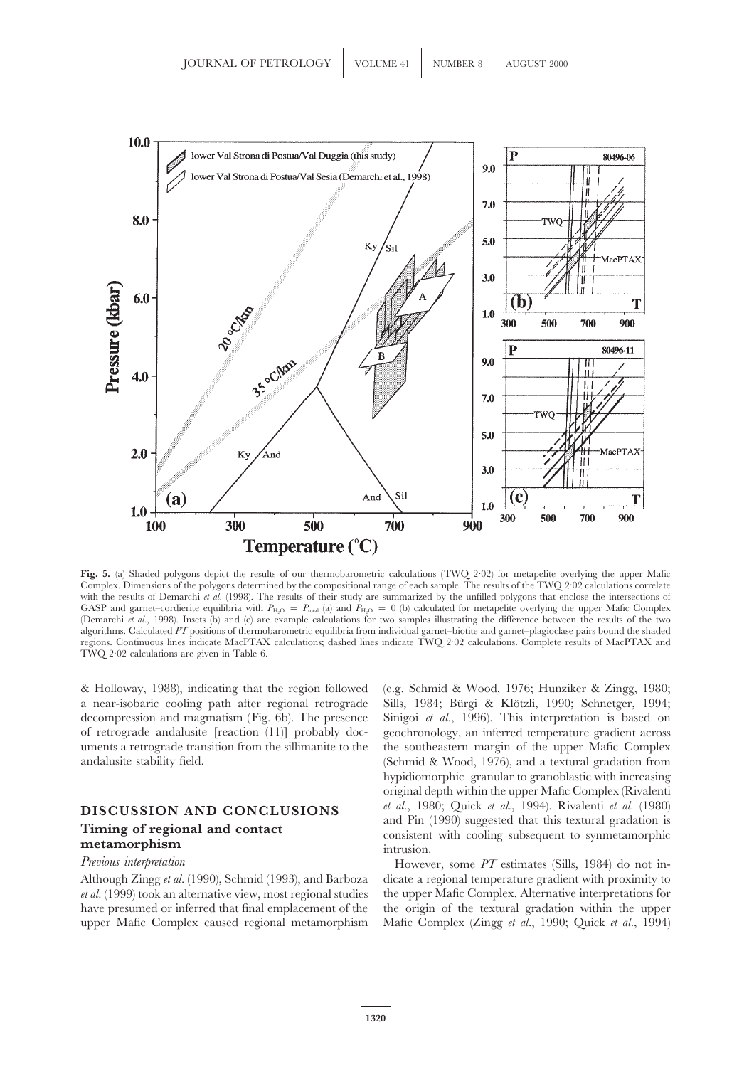

**Fig. 5.** (a) Shaded polygons depict the results of our thermobarometric calculations (TWQ 2·02) for metapelite overlying the upper Mafic Complex. Dimensions of the polygons determined by the compositional range of each sample. The results of the TWQ 2·02 calculations correlate with the results of Demarchi *et al.* (1998). The results of their study are summarized by the unfilled polygons that enclose the intersections of GASP and garnet–cordierite equilibria with  $P_{\text{H}_2\text{O}} = P_{\text{total}}$  (a) and  $P_{\text{H}_2\text{O}} = 0$  (b) calculated for metapelite overlying the upper Mafic Complex (Demarchi *et al.*, 1998). Insets (b) and (c) are example calculations for two samples illustrating the difference between the results of the two algorithms. Calculated *PT* positions of thermobarometric equilibria from individual garnet–biotite and garnet–plagioclase pairs bound the shaded regions. Continuous lines indicate MacPTAX calculations; dashed lines indicate TWQ 2·02 calculations. Complete results of MacPTAX and TWQ 2·02 calculations are given in Table 6.

& Holloway, 1988), indicating that the region followed (e.g. Schmid & Wood, 1976; Hunziker & Zingg, 1980; a near-isobaric cooling path after regional retrograde Sills, 1984; Bürgi & Klötzli, 1990; Schnetger, 1994; decompression and magmatism (Fig. 6b). The presence Sinigoi *et al.*, 1996). This interpretation is based on of retrograde andalusite [reaction (11)] probably doc- geochronology, an inferred temperature gradient across uments a retrograde transition from the sillimanite to the the southeastern margin of the upper Mafic Complex andalusite stability field. (Schmid & Wood, 1976), and a textural gradation from

*et al.* (1999) took an alternative view, most regional studies the upper Mafic Complex. Alternative interpretations for have presumed or inferred that final emplacement of the the origin of the textural gradation within the upper upper Mafic Complex caused regional metamorphism Mafic Complex (Zingg *et al.*, 1990; Quick *et al.*, 1994)

hypidiomorphic–granular to granoblastic with increasing original depth within the upper Mafic Complex (Rivalenti **DISCUSSION AND CONCLUSIONS** *et al.*, 1980; Quick *et al.*, 1994). Rivalenti *et al.* (1980)<br> **Timing of regional and contact** and **contact** consistent with cooling subsequent to synmetamorphism<br>
intrusion.

*Previous interpretation* **However, some** *PT* estimates (Sills, 1984) do not in-Although Zingg *et al.* (1990), Schmid (1993), and Barboza dicate a regional temperature gradient with proximity to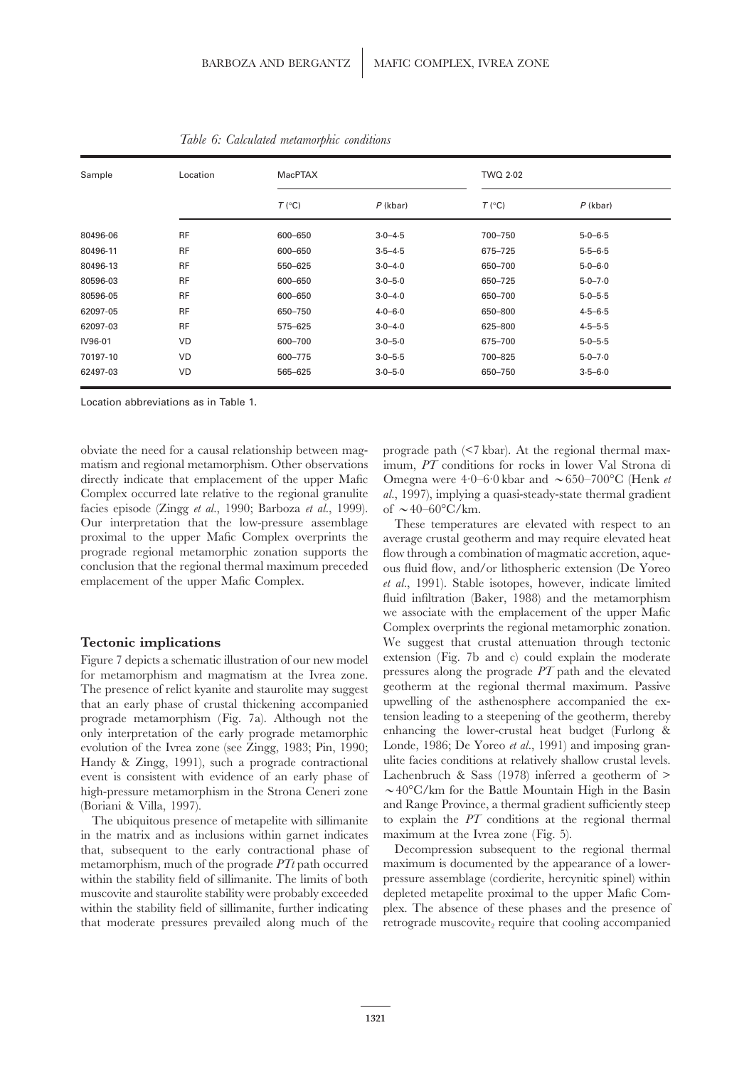| Sample   | Location  | <b>MacPTAX</b> |             | TWQ 2.02 |             |
|----------|-----------|----------------|-------------|----------|-------------|
|          |           | T (°C)         | $P$ (kbar)  | T (°C)   | $P$ (kbar)  |
| 80496-06 | <b>RF</b> | 600-650        | $3.0 - 4.5$ | 700-750  | $5.0 - 6.5$ |
| 80496-11 | <b>RF</b> | 600-650        | $3.5 - 4.5$ | 675-725  | $5.5 - 6.5$ |
| 80496-13 | <b>RF</b> | 550-625        | $3.0 - 4.0$ | 650-700  | $5.0 - 6.0$ |
| 80596-03 | <b>RF</b> | 600-650        | $3.0 - 5.0$ | 650-725  | $5.0 - 7.0$ |
| 80596-05 | <b>RF</b> | 600-650        | $3.0 - 4.0$ | 650-700  | $5.0 - 5.5$ |
| 62097-05 | <b>RF</b> | 650-750        | $4.0 - 6.0$ | 650-800  | $4.5 - 6.5$ |
| 62097-03 | <b>RF</b> | 575-625        | $3.0 - 4.0$ | 625-800  | $4.5 - 5.5$ |
| IV96-01  | <b>VD</b> | 600-700        | $3.0 - 5.0$ | 675-700  | $5.0 - 5.5$ |
| 70197-10 | <b>VD</b> | 600-775        | $3.0 - 5.5$ | 700-825  | $5.0 - 7.0$ |
| 62497-03 | VD        | 565-625        | $3.0 - 5.0$ | 650-750  | $3.5 - 6.0$ |

*Table 6: Calculated metamorphic conditions*

Location abbreviations as in Table 1.

obviate the need for a causal relationship between mag- prograde path (<7 kbar). At the regional thermal maxmatism and regional metamorphism. Other observations imum, *PT* conditions for rocks in lower Val Strona di directly indicate that emplacement of the upper Mafic Omegna were  $4.0-6.0$  kbar and  $\sim 650-700$  °C (Henk *et* Complex occurred late relative to the regional granulite *al.*, 1997), implying a quasi-steady-state thermal gradient facies episode (Zingg *et al.*, 1990; Barboza *et al.*, 1999). of  $\sim$  40–60°C/km. Our interpretation that the low-pressure assemblage These temperatures are elevated with respect to an proximal to the upper Mafic Complex overprints the average crustal geotherm and may require elevated heat prograde regional metamorphic zonation supports the flow through a combination of magmatic accretion, aqueconclusion that the regional thermal maximum preceded ous fluid flow, and/or lithospheric extension (De Yoreo emplacement of the upper Mafic Complex.<br> *et al.*, 1991). Stable isotopes, however, indicate limited

for metamorphism and magmatism at the Ivrea zone. The presence of relict kyanite and staurolite may suggest geotherm at the regional thermal maximum. Passive that an early phase of crustal thickening accompanied upwelling of the asthenosphere accompanied the exthat an early phase of crustal thickening accompanied upwelling of the asthenosphere accompanied the ex-<br>prograde metamorphism (Fig. 7a). Although not the tension leading to a steepening of the geotherm, thereby prograde metamorphism (Fig. 7a). Although not the tension leading to a steepening of the geotherm, thereby<br>only interpretation of the early prograde metamorphic enhancing the lower-crustal heat budget (Furlong & only interpretation of the early prograde metamorphic enhancing the lower-crustal heat budget (Furlong & evolution of the Ivrea zone (see Zingg. 1983; Pin. 1990). Londe, 1986; De Yoreo *et al.*, 1991) and imposing granevolution of the Ivrea zone (see Zingg, 1983; Pin, 1990; Londe, 1986; De Yoreo *et al.*, 1991) and imposing gran-<br>Handy & Zingg, 1991), such a prograde contractional ulite facies conditions at relatively shallow crustal le Handy & Zingg, 1991), such a prograde contractional event is consistent with evidence of an early phase of Lachenbruch & Sass (1978) inferred a geotherm of > high-pressure metamorphism in the Strona Ceneri zone  $\sim 40^{\circ}$ C/km for the Battle Mountain High in the Basin (Boriani & Villa, 1997). The and Range Province, a thermal gradient sufficiently steep

in the matrix and as inclusions within garnet indicates maximum at the Ivrea zone (Fig. 5). that, subsequent to the early contractional phase of Decompression subsequent to the regional thermal metamorphism, much of the prograde *PTt* path occurred maximum is documented by the appearance of a lowerwithin the stability field of sillimanite. The limits of both pressure assemblage (cordierite, hercynitic spinel) within muscovite and staurolite stability were probably exceeded depleted metapelite proximal to the upper Mafic Com-

et al., 1991). Stable isotopes, however, indicate limited fluid infiltration (Baker, 1988) and the metamorphism we associate with the emplacement of the upper Mafic Complex overprints the regional metamorphic zonation. **Tectonic implications** We suggest that crustal attenuation through tectonic Figure 7 depicts a schematic illustration of our new model extension (Fig. 7b and c) could explain the moderate for metamorphism and magmatism at the Ivrea zone pressures along the prograde  $PT$  path and the elevated The ubiquitous presence of metapelite with sillimanite to explain the *PT* conditions at the regional thermal

within the stability field of sillimanite, further indicating plex. The absence of these phases and the presence of that moderate pressures prevailed along much of the retrograde muscovite, require that cooling accompanied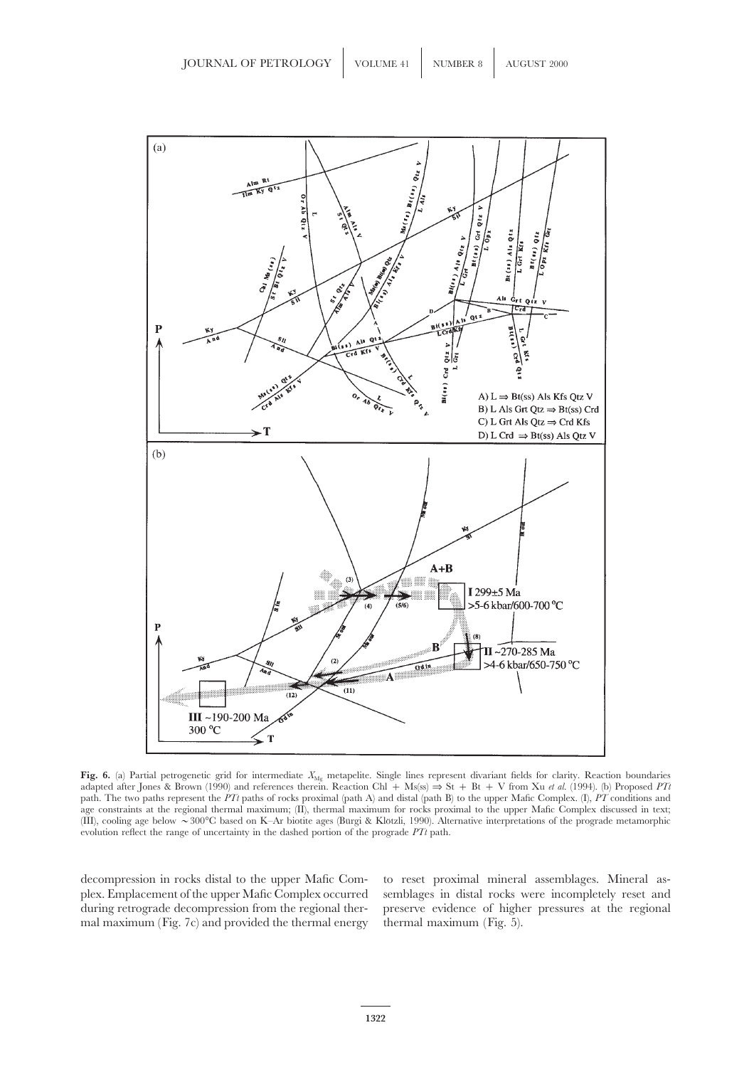

Fig. 6. (a) Partial petrogenetic grid for intermediate  $X_{\text{Mg}}$  metapelite. Single lines represent divariant fields for clarity. Reaction boundaries adapted after Jones & Brown (1990) and references therein. Reaction Chl + Ms(ss) ⇒ St + Bt + V from Xu *et al.* (1994). (b) Proposed *PTt* path. The two paths represent the *PTt* paths of rocks proximal (path A) and distal (path B) to the upper Mafic Complex. (I), *PT* conditions and age constraints at the regional thermal maximum; (II), thermal maximum for rocks proximal to the upper Mafic Complex discussed in text; (III), cooling age below  $\sim 300^{\circ}$ C based on K–Ar biotite ages (Burgi & Klötzli, 1990). Alternative interpretations of the prograde metamorphic evolution reflect the range of uncertainty in the dashed portion of the prograde *PTt* path.

mal maximum (Fig. 7c) and provided the thermal energy thermal maximum (Fig. 5).

decompression in rocks distal to the upper Mafic Com- to reset proximal mineral assemblages. Mineral asplex. Emplacement of the upper Mafic Complex occurred semblages in distal rocks were incompletely reset and during retrograde decompression from the regional ther- preserve evidence of higher pressures at the regional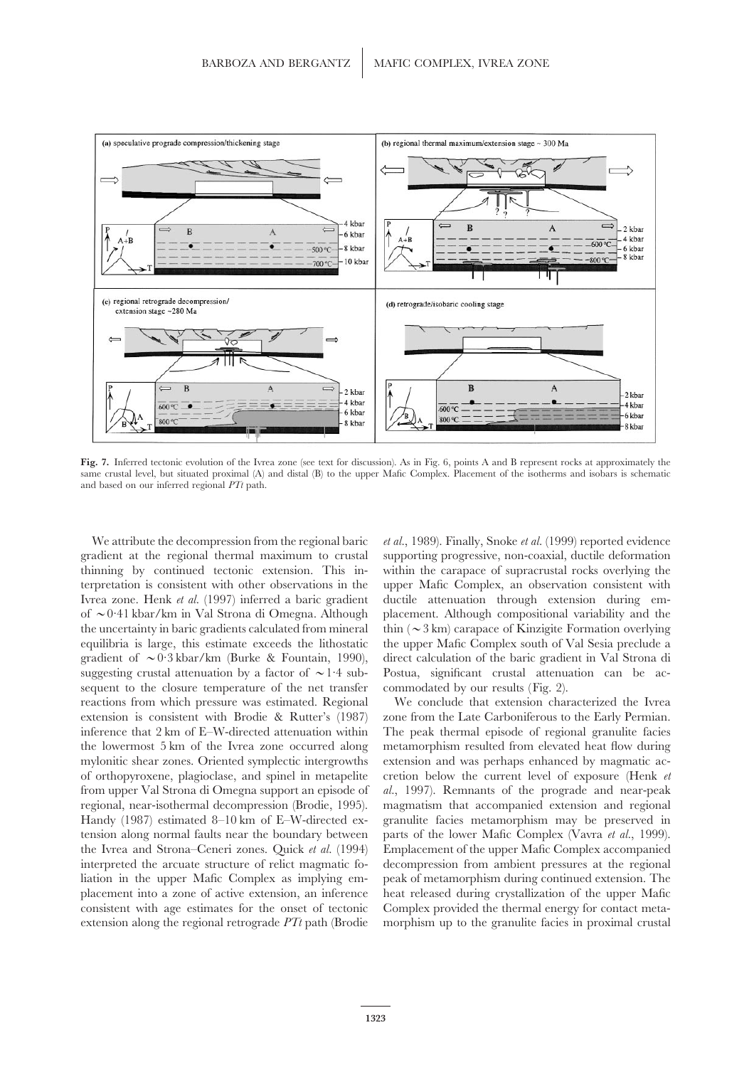

**Fig. 7.** Inferred tectonic evolution of the Ivrea zone (see text for discussion). As in Fig. 6, points A and B represent rocks at approximately the same crustal level, but situated proximal (A) and distal (B) to the upper Mafic Complex. Placement of the isotherms and isobars is schematic and based on our inferred regional *PTt* path.

suggesting crustal attenuation by a factor of  $\sim$  1.4 sub- Postua, significant crustal attenuation can be acsequent to the closure temperature of the net transfer commodated by our results (Fig. 2). reactions from which pressure was estimated. Regional We conclude that extension characterized the Ivrea

We attribute the decompression from the regional baric *et al.*, 1989). Finally, Snoke *et al.* (1999) reported evidence gradient at the regional thermal maximum to crustal supporting progressive, non-coaxial, ductile deformation thinning by continued tectonic extension. This in- within the carapace of supracrustal rocks overlying the terpretation is consistent with other observations in the upper Mafic Complex, an observation consistent with Ivrea zone. Henk *et al.* (1997) inferred a baric gradient ductile attenuation through extension during emof  $\sim$ 0.41 kbar/km in Val Strona di Omegna. Although placement. Although compositional variability and the the uncertainty in baric gradients calculated from mineral thin  $(\sim 3 \text{ km})$  carapace of Kinzigite Formation overlying equilibria is large, this estimate exceeds the lithostatic the upper Mafic Complex south of Val Sesia preclude a gradient of  $\sim 0.3$  kbar/km (Burke & Fountain, 1990), direct calculation of the baric gradient in Val Strona di

extension is consistent with Brodie & Rutter's (1987) zone from the Late Carboniferous to the Early Permian. inference that 2 km of E–W-directed attenuation within The peak thermal episode of regional granulite facies the lowermost 5 km of the Ivrea zone occurred along metamorphism resulted from elevated heat flow during mylonitic shear zones. Oriented symplectic intergrowths extension and was perhaps enhanced by magmatic acof orthopyroxene, plagioclase, and spinel in metapelite cretion below the current level of exposure (Henk *et* from upper Val Strona di Omegna support an episode of *al.*, 1997). Remnants of the prograde and near-peak regional, near-isothermal decompression (Brodie, 1995). magmatism that accompanied extension and regional Handy (1987) estimated 8–10 km of E–W-directed ex- granulite facies metamorphism may be preserved in tension along normal faults near the boundary between parts of the lower Mafic Complex (Vavra *et al.*, 1999). the Ivrea and Strona–Ceneri zones. Quick *et al.* (1994) Emplacement of the upper Mafic Complex accompanied interpreted the arcuate structure of relict magmatic fo- decompression from ambient pressures at the regional liation in the upper Mafic Complex as implying em- peak of metamorphism during continued extension. The placement into a zone of active extension, an inference heat released during crystallization of the upper Mafic consistent with age estimates for the onset of tectonic Complex provided the thermal energy for contact metaextension along the regional retrograde *PTt* path (Brodie morphism up to the granulite facies in proximal crustal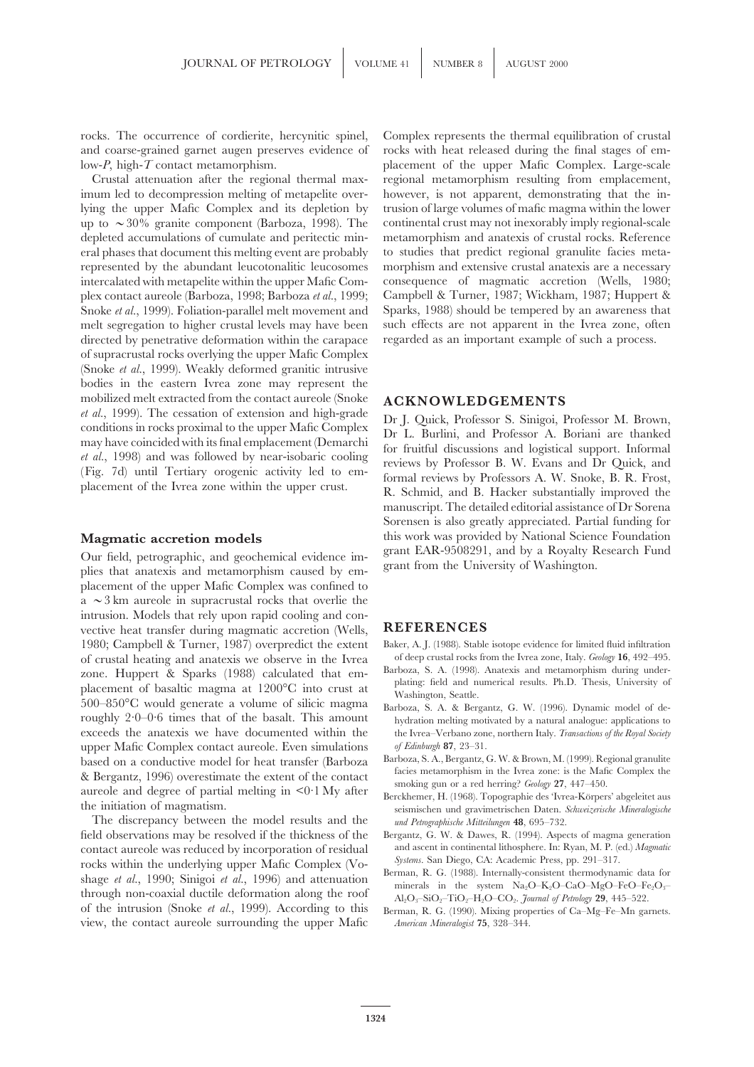rocks. The occurrence of cordierite, hercynitic spinel, Complex represents the thermal equilibration of crustal

imum led to decompression melting of metapelite over- however, is not apparent, demonstrating that the inlying the upper Mafic Complex and its depletion by trusion of large volumes of mafic magma within the lower up to  $\sim$ 30% granite component (Barboza, 1998). The continental crust may not inexorably imply regional-scale depleted accumulations of cumulate and peritectic min- metamorphism and anatexis of crustal rocks. Reference eral phases that document this melting event are probably to studies that predict regional granulite facies metarepresented by the abundant leucotonalitic leucosomes morphism and extensive crustal anatexis are a necessary intercalated with metapelite within the upper Mafic Com- consequence of magmatic accretion (Wells, 1980; plex contact aureole (Barboza, 1998; Barboza *et al.*, 1999; Campbell & Turner, 1987; Wickham, 1987; Huppert & Snoke et al., 1999). Foliation-parallel melt movement and directed by penetrative deformation within the carapace regarded as an important example of such a process. of supracrustal rocks overlying the upper Mafic Complex (Snoke *et al.*, 1999). Weakly deformed granitic intrusive bodies in the eastern Ivrea zone may represent the mobilized melt extracted from the contact aureole (Snoke  $\overline{ACKNOWLEDGEMENTS}$  *et al.*, 1999). The cessation of extension and high-grade  $\overline{D}$ ,  $\overline{L}$   $\overline{O}$ ,  $\overline{L}$   $\overline{D}$   $\overline{L}$   $\overline{O}$ ,  $\overline{L}$   $\overline{D}$   $\overline{S}$ *et al.*, 1999). The cessation of extension and high-grade<br>conditions in rocks proximal to the upper Mafic Complex<br>may have coincided with its final emplacement (Demarchi<br>*et al.*, 1998) and was followed by near-isobaric c

Our field, petrographic, and geochemical evidence im-<br>plies that anatexis and metamorphism caused by em-<br>grant from the University of Washington. placement of the upper Mafic Complex was confined to  $a \sim 3$  km aureole in supracrustal rocks that overlie the intrusion. Models that rely upon rapid cooling and convective heat transfer during magmatic accretion (Wells, **REFERENCES** 1980; Campbell & Turner, 1987) overpredict the extent Baker, A. J. (1988). Stable isotope evidence for limited fluid infiltration of crustal heating and anatexis we observe in the Ivrea of deep crustal rocks from the Ivrea of crustal heating and anatexis we observe in the Ivrea of deep crustal rocks from the Ivrea zone, Italy. *Geology* **16**, 492–495. zone. Huppert & Sparks (1988) calculated that em-<br>placement of basaltic magma at 1200°C into crust at Tashington, Seattle.<br>500–850°C would generate a volume of silicic magma at  $1200^{\circ}$  and  $1200^{\circ}$  and numerical resul roughly 2·0–0·6 times that of the basalt. This amount hydration melting motivated by a natural analogue: applications to exceeds the anatexis we have documented within the threa-Verbano zone, northern Italy. Transactions o upper Mafic Complex contact aureole. Even simulations *of Edinburgh* 87, 23–31.<br>hased on a conductive model for heat transfer (Barboza, Sanboza, S.A., Bergantz, G.W. & Brown, M. (1999). Regional granulite based on a conductive model for heat transfer (Barboza, Barboza, S.A., Bergantz, G.W. & Brown, M. (1999). Regional granulite & Bergantz, 1996) overestimate the extent of the contact aureole and degree of partial melting i

field observations may be resolved if the thickness of the Bergantz, G. W. & Dawes, R. (1994). Aspects of magma generation contact aureole was reduced by incorporation of residual and ascent in continental lithosphere. In: contact aureole was reduced by incorporation of residual and ascent in continental lithosphere. In: Ryan, M. P. (ed.) Magmatic<br>rocks within the underlying upper Mafic Complex (Vo-<br>shage *et al.*, 1990; Sinigoi *et al.*, 1 of the intrusion (Snoke *et al.*, 1999). According to this view, the contact aureole surrounding the upper Mafic *American Mineralogist* **75**, 328–344.

and coarse-grained garnet augen preserves evidence of rocks with heat released during the final stages of emlow-*P*, high-*T* contact metamorphism. placement of the upper Mafic Complex. Large-scale Crustal attenuation after the regional thermal max- regional metamorphism resulting from emplacement, melt segregation to higher crustal levels may have been such effects are not apparent in the Ivrea zone, often

manuscript. The detailed editorial assistance of Dr Sorena Sorensen is also greatly appreciated. Partial funding for **Magmatic accretion models** this work was provided by National Science Foundation<br> **Container the container of the container of the container of the container of the container of the container of the container of the conta** 

- 
- 
- the Ivrea–Verbano zone, northern Italy. *Transactions of the Royal Society*
- 
- The discrepancy between the model results and the *und Petrographische Mitteilungen* **48**, 695–732.
	-
	-
	-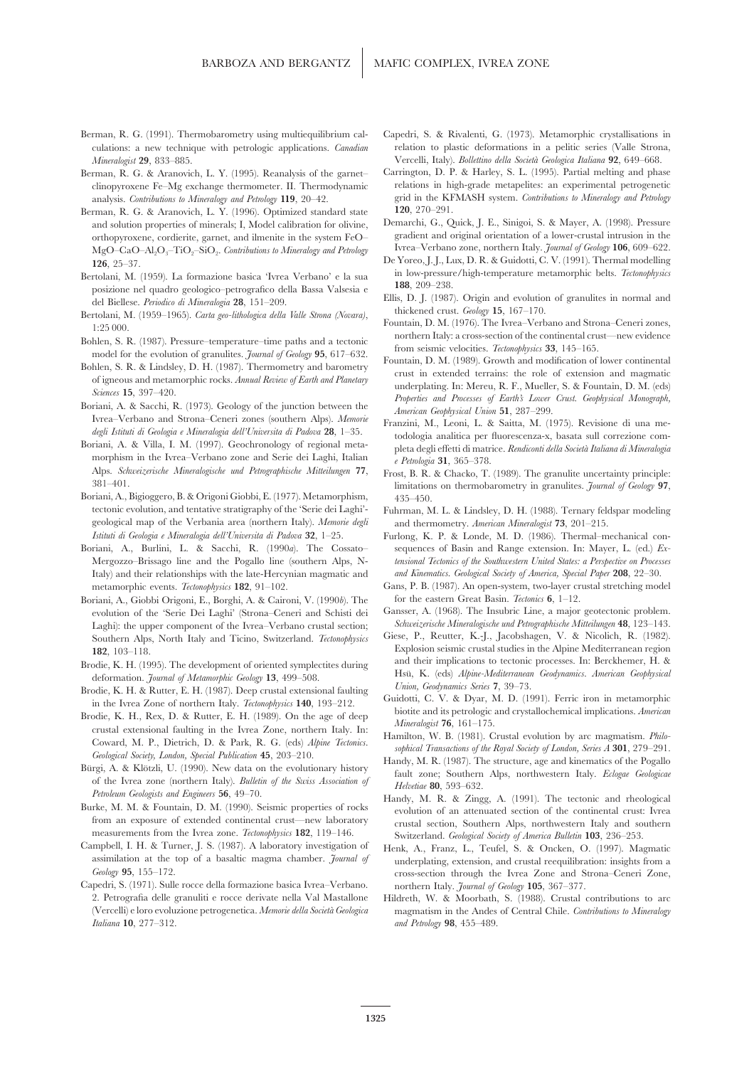- *Mineralogist* **29**, 833–885. Vercelli, Italy). *Bollettino della Societa` Geologica Italiana* **92**, 649–668.
- clinopyroxene Fe–Mg exchange thermometer. II. Thermodynamic
- Berman, R. G. & Aranovich, L. Y. (1996). Optimized standard state **120**, 270–291. MgO-CaO–Al<sub>2</sub>O<sub>3</sub>–TiO<sub>2</sub>–SiO<sub>2</sub>. *Contributions to Mineralogy and Petrology*
- in low-pressure/high-temperature metamorphic belts. *Tectonophysics* Bertolani, M. (1959). La formazione basica 'Ivrea Verbano' e la sua **188**, 209–238. posizione nel quadro geologico–petrografico della Bassa Valsesia e
- Bertolani, M. (1959–1965). *Carta geo-lithologica della Valle Strona (Novara)*, Fountain, D. M. (1976). The Ivrea–Verbano and Strona–Ceneri zones, Fountain, D. M. (1976). The Ivrea–Verbano and Strona–Ceneri zones, 1:25 000
- 
- 
- 
- Alps. *Schweizerische Mineralogische und Petrographische Mitteilungen* **77**, Frost, B. R. & Chacko, T. (1989). The granulite uncertainty principle:
- Boriani, A., Bigioggero, B. & Origoni Giobbi, E. (1977). Metamorphism, 435–450. tectonic evolution, and tentative stratigraphy of the 'Serie dei Laghi'- Fuhrman, M. L. & Lindsley, D. H. (1988). Ternary feldspar modeling geological map of the Verbania area (northern Italy). *Memorie degli* and thermometry. *American Mineralogist* **73**, 201–215.
- Italy) and their relationships with the late-Hercynian magmatic and *and Kinematics. Geological Society of America, Special Paper* **208**, 22–30.
- Boriani, A., Giobbi Origoni, E., Borghi, A. & Caironi, V. (1990b). The for the eastern Great Basin. *Tectonics* **6**, 1–12. evolution of the 'Serie Dei Laghi' (Strona–Ceneri and Schisti dei Gansser, A. (1968). The Insubric Line, a major geotectonic problem. Laghi): the upper component of the Ivrea–Verbano crustal section; *Schweizerische Mineralogische und Petrographische Mitteilungen* **48**, 123–143. Southern Alps, North Italy and Ticino, Switzerland. *Tectonophysics*
- 
- 
- Brodie, K. H., Rex, D. & Rutter, E. H. (1989). On the age of deep<br>crustal extensional faulting in the Ivrea Zone, northern Italy. In:<br>Coward, M. P., Dietrich, D. & Park, R. G. (eds) *Alpine Tectonics.*<br>Coward, M. P., Dietr
- 
- 
- measurements from the Ivrea zone. *Tectonophysics* **182**, 119–146. Switzerland. *Geological Society of America Bulletin* **103**, 236–253. Campbell, I. H. & Turner, J. S. (1987). A laboratory investigation of Henk A. Franz,
- Capedri, S. (1971). Sulle rocce della formazione basica Ivrea–Verbano. northern Italy. *Journal of Geology* **105**, 367–377. 2. Petrografia delle granuliti e rocce derivate nella Val Mastallone Hildreth, W. & Moorbath, S. (1988). Crustal contributions to arc *Italiana* **10**, 277–312. *and Petrology* **98**, 455–489.
- Berman, R. G. (1991). Thermobarometry using multiequilibrium cal- Capedri, S. & Rivalenti, G. (1973). Metamorphic crystallisations in culations: a new technique with petrologic applications. *Canadian* relation to plastic deformations in a pelitic series (Valle Strona,
- Berman, R. G. & Aranovich, L. Y. (1995). Reanalysis of the garnet– Carrington, D. P. & Harley, S. L. (1995). Partial melting and phase analysis. *Contributions to Mineralogy and Petrology* **119**, 20–42. grid in the KFMASH system. *Contributions to Mineralogy and Petrology*
	- and solution properties of minerals; I, Model calibration for olivine, Demarchi, G., Quick, J. E., Sinigoi, S. & Mayer, A. (1998). Pressure orthopyroxene cordierite garnet and ilmenite in the system EeO gradient and origin orthopyroxene, cordierite, garnet, and ilmenite in the system FeO–<br>
	MgO-CaO-ALO-TiO-SiO, Contributions to Mineralogy and Petrology<br>
	Ivrea–Verbano zone, northern Italy. *Journal of Geology* 106, 609–622.
	- De Yoreo, J. J., Lux, D. R. & Guidotti, C. V. (1991). Thermal modelling<br>
	126, 25–37.<br> **126, 25–37.** In formazione basica 'Ivrea Verbano' e la sua in low-pressure/high-temperature metamorphic belts. Tectonophysics
	- Ellis, D. J. (1987). Origin and evolution of granulites in normal and del Biellese. *Periodico di Mineralogia* 28, 151–209.<br>
	thickened crust. *Geology* 15, 167–170.
		-
- Bohlen, S. R. (1987). Pressure-temperature-time paths and a tectonic model for the evolution of granulites. *Journal of Geology* 95, 617–632.<br>Bohlen, S. R. & Lindsley, D. H. (1987). Thermometry and barometry firm seismic v
- Boriani, A. & Saccin, K. (1975). Geologia e Microscope of the Junction Between the<br>Ivrea-Verbano and Strona-Ceneri zones (southern Alps). Memorie<br>Boriani, A. & Villa, I. M. (1997). Geochronology of regional meta-<br>Boriani,
	- 381–401. limitations on thermobarometry in granulites. *Journal of Geology* **97**,
	-
- *Istituti di Geologia e Mineralogia dell'Universita di Padova* 32, 1–25. Furlong, K. P. & Londe, M. D. (1986). Thermal–mechanical con-<br>Boriani, A., Burlini, L. & Sacchi, R. (1990a). The Cossato-<br>sequences of Basin and Rang sequences of Basin and Range extension. In: Mayer, L. (ed.) *Ex-*Mergozzo–Brissago line and the Pogallo line (southern Alps, N- *tensional Tectonics of the Southwestern United States: a Perspective on Processes*
	- metamorphic events. *Tectonophysics* **182**, 91–102. Gans, P. B. (1987). An open-system, two-layer crustal stretching model
		-
- Explosion seismic crustal studies in the Alpine Mediterranean region<br> **182**, 103–118.<br> **182**, 103–118.<br> **182**, 103–118.<br> **182**, 103–118.<br> **182**, 103–118. Brodie, K. H. (1995). The development of oriented symplectites during and their implications to tectonic processes. In: Berckhemer, H. & deformation. Journal of Metamorphic Geology 13, 499–508. Hsu, K. (eds) Alpine-Mediter
- Brodie, K. H. & Rutter, E. H. (1987). Deep crustal extensional faulting<br>in the Ivrea Zone of northern Italy. Technophysics 140, 193–212.<br>Bradie K. H. Bradie D. Bradie E. H. (1999). Or the age of deap biotite and its petro
	-
	-
- of the Ivrea zone (northern Italy). Buttetin of the Steves Association of<br>Petroleum Geologists and Engineers 56, 49–70.<br>Burke, M. M. & Fountain, D. M. (1990). Seismic properties of rocks<br>from an exposure of extended contin from an exposure of extended continental crust—new laboratory crustal section, Southern Alps, northwestern Italy and southern<br>measurements from the Ivrea zone. Tectonophysics 182, 119–146. Switzerland Geological Society of
	- Henk, A., Franz, L., Teufel, S. & Oncken, O. (1997). Magmatic assimilation at the top of a basaltic magma chamber. *Journal of* underplating, extension, and crustal reequilibration: insights from a cross-section through the Ivrea Zone and Strona–Ceneri Zone,
	- (Vercelli) e loro evoluzione petrogenetica. *Memorie della Societa` Geologica* magmatism in the Andes of Central Chile. *Contributions to Mineralogy*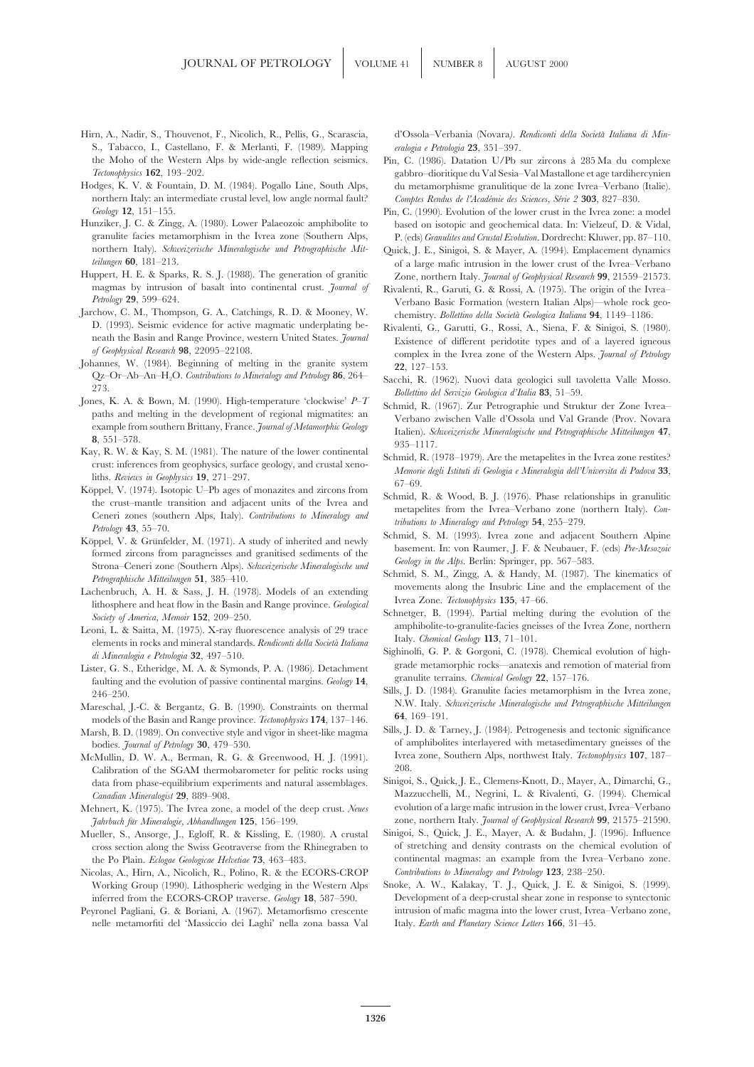- S., Tabacco, I., Castellano, F. & Merlanti, F. (1989). Mapping *eralogia e Petrologia* **23**, 351–397. the Moho of the Western Alps by wide-angle reflection seismics. Pin, C. (1986). Datation U/Pb sur zircons a` 285 Ma du complexe
- northern Italy: an intermediate crustal level, low angle normal fault? *Comptes Rendus de l'Acade´mie des Sciences, Se´rie 2* **303**, 827–830.
- granulite facies metamorphism in the Ivrea zone (Southern Alps, P. (eds) *Granulites and Crustal Evolution*. Dordrecht: Kluwer, pp. 87–110.<br>northern Italy). Schweizerische Mineralogische und Petrographische Mit- Quick. I.
- Huppert, H. E. & Sparks, R. S. J. (1988). The generation of granitic Zone, northern Italy. *Journal of Geophysical Research* **99**, 21559–21573.
- Jarchow, C. M., Thompson, G. A., Catchings, R. D. & Mooney, W. chemistry. *Bollettino della Societa` Geologica Italiana* **94**, 1149–1186. D. (1993). Seismic evidence for active magmatic underplating be-<br>neath the Basin and Range Province, western United States. *Journal* Existence of different peridotite types and of a layered igneous
- 
- 
- 
- Xay, R. W. & Kay, S. M. (1981). The nature of the lower continental<br>
crust: inferences from geophysics, surface geology, and crustal xeno-<br>
liths. Reviews in Geophysics 19, 271–297.<br>
Köppel, V. (1974). Isotopic U–Pb ages o
- Petrology 43, 55–70.<br>
Köppel, V. & Grünfelder, M. (1971). A study of inherited and newly<br>
formed zircons from paragneisses and granitised sediments of the second and the basement. In: von Raumer, J. F. & Neubauer, F. (eds)
- Lachenbruch, A. H. & Sass, J. H. (1978). Models of an extending<br>lithosphere and heat flow in the Basin and Range province. *Geological* Ivrea Zone. *Tectonophysics* 135, 47–66.<br>Society of America, Memoir 152, 209–250.<br>Loop
- Leoni, L. & Saitta, M. (1975). X-ray fluorescence analysis of 29 trace amphibolite-to-granulite-lacies gne:<br>elements in rocks and mineral standards. Rendiconti della Società Italiana Italy. Chemical Geology 113, 71–101.
- Lister, G. S., Etheridge, M. A. & Symonds, P. A. (1986). Detachment grade metamorphic rocks—anatexis and remotion of material from the evolution of massive continental material  $\frac{G_{\text{e}}}{T}$  annulite terrains. Chemical G faulting and the evolution of passive continental margins. Geology 14,<br>
246–250.<br>
Sills, J. D. (1984). Granulite facties metamorphism in the Ivrea zone,<br>
27. 137–176.<br>
27. 157–176.<br>
27. 157–176.<br>
27. 157–176.<br>
27. 157–176.
- Mareschal, J.-C. & Bergantz, G. B. (1990). Constraints on thermal N.W. Italy. *S*<br>models of the Begin and Penge province *Tectoreblusic* 174, 137, 146 **64**, 169–191.
- Marsh, B. D. (1989). On convective style and vigor in sheet-like magma
- McMullin, D. W. A., Berman, R. G. & Greenwood, H. J. (1991). Ivre<br>
Colibration of the SCAM thermoharameter for politic rocks using 208 Calibration of the SGAM thermobarometer for pelitic rocks using 208.<br>
data from phase-equilibrium experiments and patural assemblages. Sinigoi, S., Quick, J. E., Clemens-Knott, D., Mayer, A., Dimarchi, G., data from phase-equilibrium experiments and natural assemblages.
- *Jahrbuch fu* zone, northern Italy. *Journal of Geophysical Research* **99**, 21575–21590. *¨r Mineralogie, Abhandlungen* **125**, 156–199.
- Mueller, S., Ansorge, J., Egloff, R. & Kissling, E. (1980). A crustal
- Nicolas, A., Hirn, A., Nicolich, R., Polino, R. & the ECORS-CROP
- nelle metamorfiti del 'Massiccio dei Laghi' nella zona bassa Val Italy. *Earth and Planetary Science Letters* **166**, 31–45.

Hirn, A., Nadir, S., Thouvenot, F., Nicolich, R., Pellis, G., Scarascia, d'Ossola–Verbania (Novara*). Rendiconti della Societa` Italiana di Min-*

- *Tectonophysics* **162**, 193–202. gabbro–dioritique du Val Sesia–Val Mastallone et age tardihercynien Hodges, K. V. & Fountain, D. M. (1984). Pogallo Line, South Alps, du metamorphisme granulitique de la zone Ivrea–Verbano (Italie).
- *Geology* **12**, 151–155. Pin, C. (1990). Evolution of the lower crust in the Ivrea zone: a model Hunziker, J. C. & Zingg, A. (1980). Lower Palaeozoic amphibolite to based on isotopic and geochemical data. In: Vielzeuf, D. & Vidal,
- northern Italy). *Schweizerische Mineralogische und Petrographische Mit* Quick, J. E., Sinigoi, S. & Mayer, A. (1994). Emplacement dynamics *teilungen* 60, 181–213.<br>of a large mafic intrusion in the lower crust of the Ivr *teilungen* **60**, 181–213.<br> **Huppert, H. E. & Sparks, R. S. J.** (1988). The generation of granitic  $\sum_{\text{One northern Italy}}$  *Lower of Sephreical Regearch* **99**, 21559–21573
	- magmas by intrusion of basalt into continental crust. *Journal of* Rivalenti, R., Garuti, G. & Rossi, A. (1975). The origin of the Ivrea–<br>*Petrology* 29, 599–624. Verbano Basic Formation (western Italian Alps)—whole rock geo-
- neath the Basin and Range Province, western United States. *Journal* Existence of different peridotite types and of a layered igneous of Geophysical Research 98, 22095–22108. *of Geophysical Research* **<sup>98</sup>**, 22095–22108. complex in the Ivrea zone of the Western Alps. *Journal of Petrology* Johannes, W. (1984). Beginning of melting in the granite system **<sup>22</sup>**, 127–153.
- Qz–Or–Ab–An–H<sub>2</sub>O. *Contributions to Mineralogy and Petrology* 86, 264–<br>273. *Bollettino del Servizio Geologica d'Italia* 83, 51–59. *Bollettino del Servizio Geologica d'Italia* 83, 51–59. *Bollettino del Servizio Geologic*
- Jones, K. A. & Bown, M. (1990). High-temperature clockwise  $P^{-1}$ <br>
paths and melting in the development of regional migmatites: an<br>
example from southern Brittany, France. *Journal of Metamorphic Geology*<br>
8, 551–578.<br>
Ka
	-
	-
	-
	-
	-
	- Sighinolfi, G. P. & Gorgoni, C. (1978). Chemical evolution of high-<br>*di Mineralogia e Petrologia* 32, 497–510.<br>
	grade metamorphic rocks—anatexis and remotion of material from
		-
	- models of the Basin and Range province. *Tectonophysics* 174, 137–146. **<sup>04, 109–191.</sup>**<br>arch B, D. (1989). On convective style and vigor in sheet-like magma. Sills, J. D. & Tarney, J. (1984). Petrogenesis and tectonic sign of amphibolites interlayered with metasedimentary gneisses of the bodies. *Journal of Petrology* **30**, 479–530.<br> **Of amphibolites interlayered with metasedimentary gneisses of the bodies. Journal of Petrology 307**, 187
- *Canadian Mineralogist* **29** Mazzucchelli, M., Negrini, L. & Rivalenti, G. (1994). Chemical , 889–908. Mehnert, K. (1975). The Ivrea zone, a model of the deep crust. *Neues* evolution of a large mafic intrusion in the lower crust, Ivrea–Verbano
	- cross section along the Swiss Geotraverse from the Rhinegraben to of stretching and density contrasts on the chemical evolution of the Po Plain. *Eclogae Geologicae Helvetiae* 73, 463–483. continental magmas: an example from the Ivrea–Verbano zone.<br>colas, A., Hirn, A., Nicolich, R., Polino, R. & the ECORS-CROP *Contributions to Mineralogy and Petrolog*
- Working Group (1990). Lithospheric wedging in the Western Alps Snoke, A. W., Kalakay, T. J., Quick, J. E. & Sinigoi, S. (1999). inferred from the ECORS-CROP traverse. *Geology* **18**, 587–590. Development of a deep-crustal shear zone in response to syntectonic Peyronel Pagliani, G. & Boriani, A. (1967). Metamorfismo crescente intrusion of mafic magma into the lower crust, Ivrea–Verbano zone,